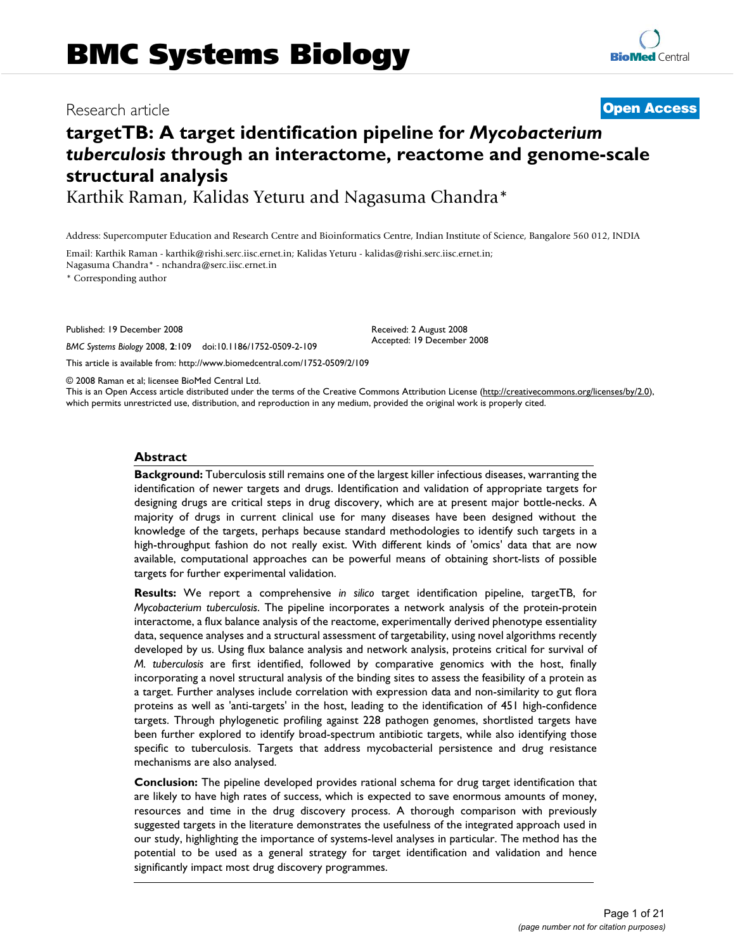# Research article **[Open Access](http://www.biomedcentral.com/info/about/charter/)**

**[BioMed](http://www.biomedcentral.com/) Central** 

# **targetTB: A target identification pipeline for** *Mycobacterium tuberculosis* **through an interactome, reactome and genome-scale structural analysis**

Karthik Raman, Kalidas Yeturu and Nagasuma Chandra\*

Address: Supercomputer Education and Research Centre and Bioinformatics Centre, Indian Institute of Science, Bangalore 560 012, INDIA

Email: Karthik Raman - karthik@rishi.serc.iisc.ernet.in; Kalidas Yeturu - kalidas@rishi.serc.iisc.ernet.in; Nagasuma Chandra\* - nchandra@serc.iisc.ernet.in

\* Corresponding author

Published: 19 December 2008

*BMC Systems Biology* 2008, **2**:109 doi:10.1186/1752-0509-2-109

[This article is available from: http://www.biomedcentral.com/1752-0509/2/109](http://www.biomedcentral.com/1752-0509/2/109)

© 2008 Raman et al; licensee BioMed Central Ltd.

This is an Open Access article distributed under the terms of the Creative Commons Attribution License [\(http://creativecommons.org/licenses/by/2.0\)](http://creativecommons.org/licenses/by/2.0), which permits unrestricted use, distribution, and reproduction in any medium, provided the original work is properly cited.

Received: 2 August 2008 Accepted: 19 December 2008

## **Abstract**

**Background:** Tuberculosis still remains one of the largest killer infectious diseases, warranting the identification of newer targets and drugs. Identification and validation of appropriate targets for designing drugs are critical steps in drug discovery, which are at present major bottle-necks. A majority of drugs in current clinical use for many diseases have been designed without the knowledge of the targets, perhaps because standard methodologies to identify such targets in a high-throughput fashion do not really exist. With different kinds of 'omics' data that are now available, computational approaches can be powerful means of obtaining short-lists of possible targets for further experimental validation.

**Results:** We report a comprehensive *in silico* target identification pipeline, targetTB, for *Mycobacterium tuberculosis*. The pipeline incorporates a network analysis of the protein-protein interactome, a flux balance analysis of the reactome, experimentally derived phenotype essentiality data, sequence analyses and a structural assessment of targetability, using novel algorithms recently developed by us. Using flux balance analysis and network analysis, proteins critical for survival of *M. tuberculosis* are first identified, followed by comparative genomics with the host, finally incorporating a novel structural analysis of the binding sites to assess the feasibility of a protein as a target. Further analyses include correlation with expression data and non-similarity to gut flora proteins as well as 'anti-targets' in the host, leading to the identification of 451 high-confidence targets. Through phylogenetic profiling against 228 pathogen genomes, shortlisted targets have been further explored to identify broad-spectrum antibiotic targets, while also identifying those specific to tuberculosis. Targets that address mycobacterial persistence and drug resistance mechanisms are also analysed.

**Conclusion:** The pipeline developed provides rational schema for drug target identification that are likely to have high rates of success, which is expected to save enormous amounts of money, resources and time in the drug discovery process. A thorough comparison with previously suggested targets in the literature demonstrates the usefulness of the integrated approach used in our study, highlighting the importance of systems-level analyses in particular. The method has the potential to be used as a general strategy for target identification and validation and hence significantly impact most drug discovery programmes.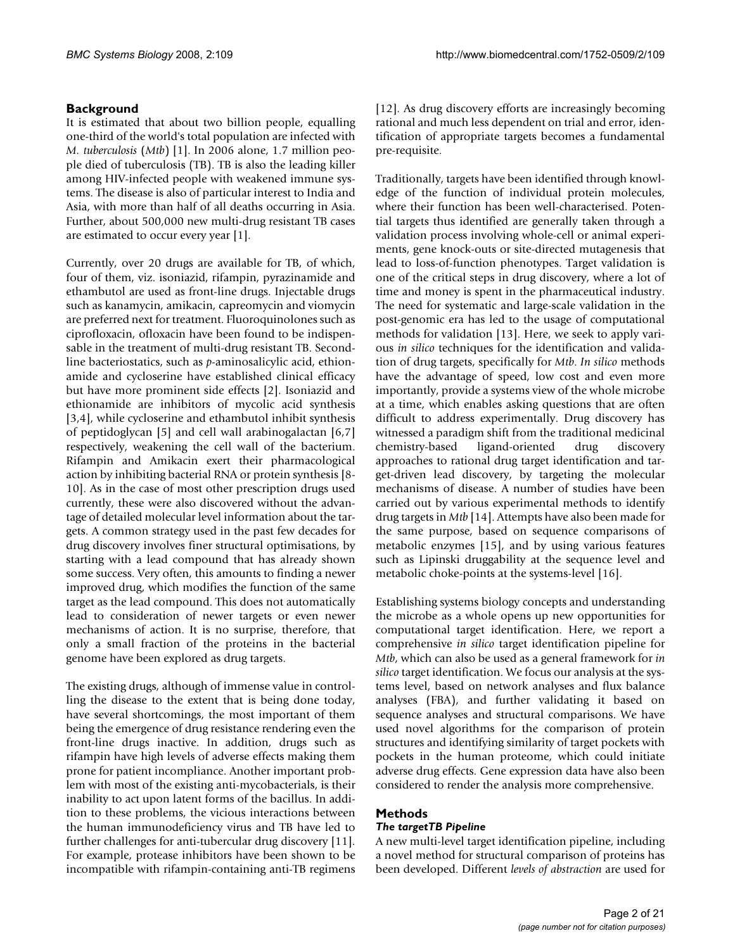# **Background**

It is estimated that about two billion people, equalling one-third of the world's total population are infected with *M. tuberculosis* (*Mtb*) [\[1\]](#page-17-0). In 2006 alone, 1.7 million people died of tuberculosis (TB). TB is also the leading killer among HIV-infected people with weakened immune systems. The disease is also of particular interest to India and Asia, with more than half of all deaths occurring in Asia. Further, about 500,000 new multi-drug resistant TB cases are estimated to occur every year [[1](#page-17-0)].

Currently, over 20 drugs are available for TB, of which, four of them, viz. isoniazid, rifampin, pyrazinamide and ethambutol are used as front-line drugs. Injectable drugs such as kanamycin, amikacin, capreomycin and viomycin are preferred next for treatment. Fluoroquinolones such as ciprofloxacin, ofloxacin have been found to be indispensable in the treatment of multi-drug resistant TB. Secondline bacteriostatics, such as *p*-aminosalicylic acid, ethionamide and cycloserine have established clinical efficacy but have more prominent side effects [\[2](#page-17-1)]. Isoniazid and ethionamide are inhibitors of mycolic acid synthesis [[3](#page-17-2)[,4\]](#page-17-3), while cycloserine and ethambutol inhibit synthesis of peptidoglycan [[5](#page-17-4)] and cell wall arabinogalactan [\[6,](#page-17-5)[7\]](#page-17-6) respectively, weakening the cell wall of the bacterium. Rifampin and Amikacin exert their pharmacological action by inhibiting bacterial RNA or protein synthesis [[8](#page-17-7)- [10\]](#page-18-0). As in the case of most other prescription drugs used currently, these were also discovered without the advantage of detailed molecular level information about the targets. A common strategy used in the past few decades for drug discovery involves finer structural optimisations, by starting with a lead compound that has already shown some success. Very often, this amounts to finding a newer improved drug, which modifies the function of the same target as the lead compound. This does not automatically lead to consideration of newer targets or even newer mechanisms of action. It is no surprise, therefore, that only a small fraction of the proteins in the bacterial genome have been explored as drug targets.

The existing drugs, although of immense value in controlling the disease to the extent that is being done today, have several shortcomings, the most important of them being the emergence of drug resistance rendering even the front-line drugs inactive. In addition, drugs such as rifampin have high levels of adverse effects making them prone for patient incompliance. Another important problem with most of the existing anti-mycobacterials, is their inability to act upon latent forms of the bacillus. In addition to these problems, the vicious interactions between the human immunodeficiency virus and TB have led to further challenges for anti-tubercular drug discovery [\[11](#page-18-1)]. For example, protease inhibitors have been shown to be incompatible with rifampin-containing anti-TB regimens

[[12](#page-18-2)]. As drug discovery efforts are increasingly becoming rational and much less dependent on trial and error, identification of appropriate targets becomes a fundamental pre-requisite.

Traditionally, targets have been identified through knowledge of the function of individual protein molecules, where their function has been well-characterised. Potential targets thus identified are generally taken through a validation process involving whole-cell or animal experiments, gene knock-outs or site-directed mutagenesis that lead to loss-of-function phenotypes. Target validation is one of the critical steps in drug discovery, where a lot of time and money is spent in the pharmaceutical industry. The need for systematic and large-scale validation in the post-genomic era has led to the usage of computational methods for validation [[13\]](#page-18-3). Here, we seek to apply various *in silico* techniques for the identification and validation of drug targets, specifically for *Mtb*. *In silico* methods have the advantage of speed, low cost and even more importantly, provide a systems view of the whole microbe at a time, which enables asking questions that are often difficult to address experimentally. Drug discovery has witnessed a paradigm shift from the traditional medicinal chemistry-based ligand-oriented drug discovery approaches to rational drug target identification and target-driven lead discovery, by targeting the molecular mechanisms of disease. A number of studies have been carried out by various experimental methods to identify drug targets in *Mtb* [\[14](#page-18-4)]. Attempts have also been made for the same purpose, based on sequence comparisons of metabolic enzymes [\[15](#page-18-5)], and by using various features such as Lipinski druggability at the sequence level and metabolic choke-points at the systems-level [[16\]](#page-18-6).

Establishing systems biology concepts and understanding the microbe as a whole opens up new opportunities for computational target identification. Here, we report a comprehensive *in silico* target identification pipeline for *Mtb*, which can also be used as a general framework for *in silico* target identification. We focus our analysis at the systems level, based on network analyses and flux balance analyses (FBA), and further validating it based on sequence analyses and structural comparisons. We have used novel algorithms for the comparison of protein structures and identifying similarity of target pockets with pockets in the human proteome, which could initiate adverse drug effects. Gene expression data have also been considered to render the analysis more comprehensive.

# **Methods**

## *The targetTB Pipeline*

A new multi-level target identification pipeline, including a novel method for structural comparison of proteins has been developed. Different *levels of abstraction* are used for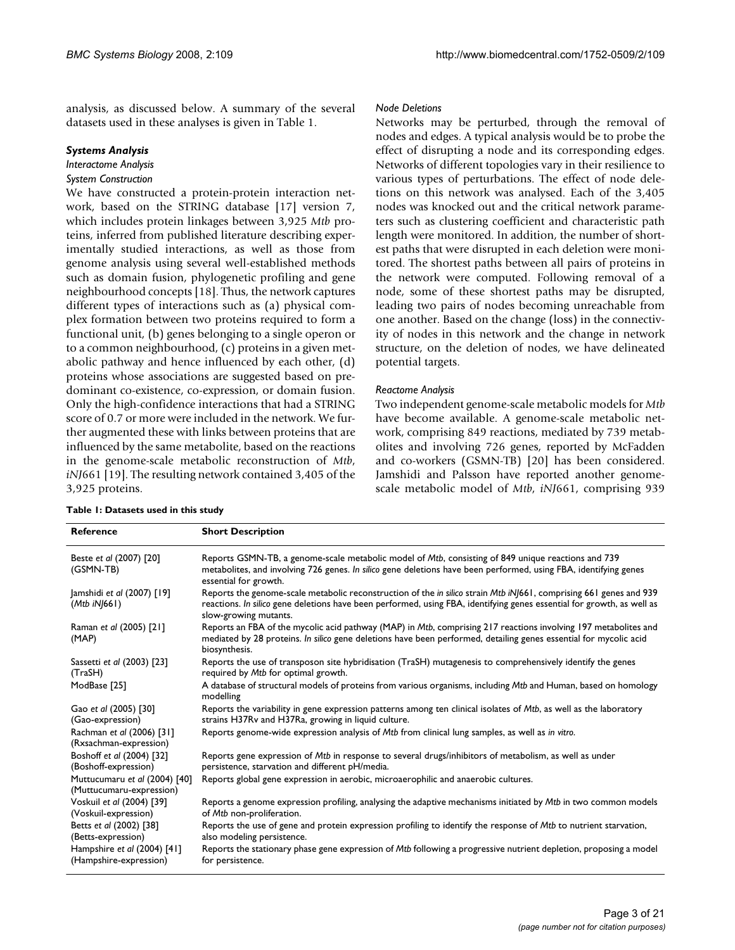analysis, as discussed below. A summary of the several datasets used in these analyses is given in Table [1.](#page-2-0)

#### *Systems Analysis*

#### *Interactome Analysis*

#### *System Construction*

We have constructed a protein-protein interaction network, based on the STRING database [[17\]](#page-18-7) version 7, which includes protein linkages between 3,925 *Mtb* proteins, inferred from published literature describing experimentally studied interactions, as well as those from genome analysis using several well-established methods such as domain fusion, phylogenetic profiling and gene neighbourhood concepts [[18](#page-18-8)]. Thus, the network captures different types of interactions such as (a) physical complex formation between two proteins required to form a functional unit, (b) genes belonging to a single operon or to a common neighbourhood, (c) proteins in a given metabolic pathway and hence influenced by each other, (d) proteins whose associations are suggested based on predominant co-existence, co-expression, or domain fusion. Only the high-confidence interactions that had a STRING score of 0.7 or more were included in the network. We further augmented these with links between proteins that are influenced by the same metabolite, based on the reactions in the genome-scale metabolic reconstruction of *Mtb*, *iNJ*661 [\[19\]](#page-18-9). The resulting network contained 3,405 of the 3,925 proteins.

#### *Node Deletions*

Networks may be perturbed, through the removal of nodes and edges. A typical analysis would be to probe the effect of disrupting a node and its corresponding edges. Networks of different topologies vary in their resilience to various types of perturbations. The effect of node deletions on this network was analysed. Each of the 3,405 nodes was knocked out and the critical network parameters such as clustering coefficient and characteristic path length were monitored. In addition, the number of shortest paths that were disrupted in each deletion were monitored. The shortest paths between all pairs of proteins in the network were computed. Following removal of a node, some of these shortest paths may be disrupted, leading two pairs of nodes becoming unreachable from one another. Based on the change (loss) in the connectivity of nodes in this network and the change in network structure, on the deletion of nodes, we have delineated potential targets.

#### *Reactome Analysis*

Two independent genome-scale metabolic models for *Mtb* have become available. A genome-scale metabolic network, comprising 849 reactions, mediated by 739 metabolites and involving 726 genes, reported by McFadden and co-workers (GSMN-TB) [[20\]](#page-18-10) has been considered. Jamshidi and Palsson have reported another genomescale metabolic model of *Mtb*, *iNJ*661, comprising 939

| <b>Reference</b>                                          | <b>Short Description</b>                                                                                                                                                                                                                                              |
|-----------------------------------------------------------|-----------------------------------------------------------------------------------------------------------------------------------------------------------------------------------------------------------------------------------------------------------------------|
| Beste et al (2007) [20]<br>(GSMN-TB)                      | Reports GSMN-TB, a genome-scale metabolic model of Mtb, consisting of 849 unique reactions and 739<br>metabolites, and involving 726 genes. In silico gene deletions have been performed, using FBA, identifying genes<br>essential for growth.                       |
| Jamshidi et al (2007) [19]<br>$(Mtb$ iN $ 661)$           | Reports the genome-scale metabolic reconstruction of the in silico strain Mtb iN/661, comprising 661 genes and 939<br>reactions. In silico gene deletions have been performed, using FBA, identifying genes essential for growth, as well as<br>slow-growing mutants. |
| Raman et al (2005) [21]<br>(MAP)                          | Reports an FBA of the mycolic acid pathway (MAP) in Mtb, comprising 217 reactions involving 197 metabolites and<br>mediated by 28 proteins. In silico gene deletions have been performed, detailing genes essential for mycolic acid<br>biosynthesis.                 |
| Sassetti et al (2003) [23]<br>(TraSH)                     | Reports the use of transposon site hybridisation (TraSH) mutagenesis to comprehensively identify the genes<br>required by Mtb for optimal growth.                                                                                                                     |
| ModBase [25]                                              | A database of structural models of proteins from various organisms, including Mtb and Human, based on homology<br>modelling                                                                                                                                           |
| Gao et al (2005) [30]<br>(Gao-expression)                 | Reports the variability in gene expression patterns among ten clinical isolates of Mtb, as well as the laboratory<br>strains H37Rv and H37Ra, growing in liquid culture.                                                                                              |
| Rachman et al (2006) [31]<br>(Rxsachman-expression)       | Reports genome-wide expression analysis of Mtb from clinical lung samples, as well as in vitro.                                                                                                                                                                       |
| Boshoff et al (2004) [32]<br>(Boshoff-expression)         | Reports gene expression of Mtb in response to several drugs/inhibitors of metabolism, as well as under<br>persistence, starvation and different pH/media.                                                                                                             |
| Muttucumaru et al (2004) [40]<br>(Muttucumaru-expression) | Reports global gene expression in aerobic, microaerophilic and anaerobic cultures.                                                                                                                                                                                    |
| Voskuil et al (2004) [39]<br>(Voskuil-expression)         | Reports a genome expression profiling, analysing the adaptive mechanisms initiated by Mtb in two common models<br>of Mtb non-proliferation.                                                                                                                           |
| Betts et al (2002) [38]<br>(Betts-expression)             | Reports the use of gene and protein expression profiling to identify the response of Mtb to nutrient starvation,<br>also modeling persistence.                                                                                                                        |
| Hampshire et al (2004) [41]<br>(Hampshire-expression)     | Reports the stationary phase gene expression of Mtb following a progressive nutrient depletion, proposing a model<br>for persistence.                                                                                                                                 |

#### <span id="page-2-0"></span>**Table 1: Datasets used in this study**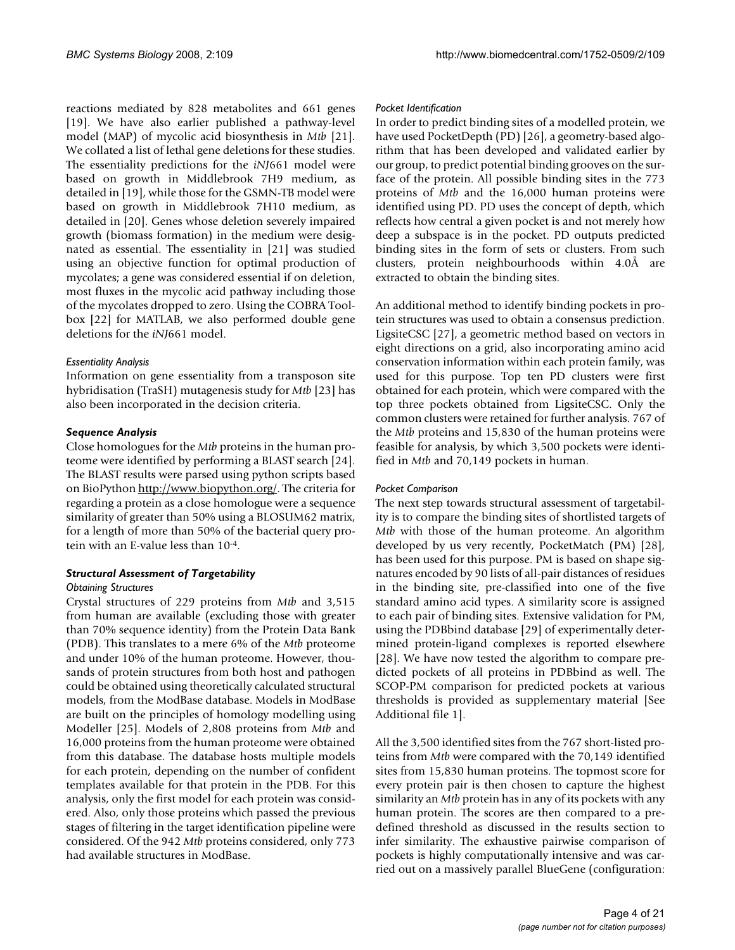reactions mediated by 828 metabolites and 661 genes [[19](#page-18-9)]. We have also earlier published a pathway-level model (MAP) of mycolic acid biosynthesis in *Mtb* [\[21](#page-18-11)]. We collated a list of lethal gene deletions for these studies. The essentiality predictions for the *iNJ*661 model were based on growth in Middlebrook 7H9 medium, as detailed in [[19\]](#page-18-9), while those for the GSMN-TB model were based on growth in Middlebrook 7H10 medium, as detailed in [[20](#page-18-10)]. Genes whose deletion severely impaired growth (biomass formation) in the medium were designated as essential. The essentiality in [\[21](#page-18-11)] was studied using an objective function for optimal production of mycolates; a gene was considered essential if on deletion, most fluxes in the mycolic acid pathway including those of the mycolates dropped to zero. Using the COBRA Toolbox [\[22](#page-18-21)] for MATLAB, we also performed double gene deletions for the *iNJ*661 model.

## *Essentiality Analysis*

Information on gene essentiality from a transposon site hybridisation (TraSH) mutagenesis study for *Mtb* [\[23](#page-18-12)] has also been incorporated in the decision criteria.

#### *Sequence Analysis*

Close homologues for the *Mtb* proteins in the human proteome were identified by performing a BLAST search [\[24](#page-18-22)]. The BLAST results were parsed using python scripts based on BioPython [http://www.biopython.org/.](http://www.biopython.org/) The criteria for regarding a protein as a close homologue were a sequence similarity of greater than 50% using a BLOSUM62 matrix, for a length of more than 50% of the bacterial query protein with an E-value less than 10-4.

## *Structural Assessment of Targetability*

#### *Obtaining Structures*

Crystal structures of 229 proteins from *Mtb* and 3,515 from human are available (excluding those with greater than 70% sequence identity) from the Protein Data Bank (PDB). This translates to a mere 6% of the *Mtb* proteome and under 10% of the human proteome. However, thousands of protein structures from both host and pathogen could be obtained using theoretically calculated structural models, from the ModBase database. Models in ModBase are built on the principles of homology modelling using Modeller [[25](#page-18-13)]. Models of 2,808 proteins from *Mtb* and 16,000 proteins from the human proteome were obtained from this database. The database hosts multiple models for each protein, depending on the number of confident templates available for that protein in the PDB. For this analysis, only the first model for each protein was considered. Also, only those proteins which passed the previous stages of filtering in the target identification pipeline were considered. Of the 942 *Mtb* proteins considered, only 773 had available structures in ModBase.

#### *Pocket Identification*

In order to predict binding sites of a modelled protein, we have used PocketDepth (PD) [\[26](#page-18-23)], a geometry-based algorithm that has been developed and validated earlier by our group, to predict potential binding grooves on the surface of the protein. All possible binding sites in the 773 proteins of *Mtb* and the 16,000 human proteins were identified using PD. PD uses the concept of depth, which reflects how central a given pocket is and not merely how deep a subspace is in the pocket. PD outputs predicted binding sites in the form of sets or clusters. From such clusters, protein neighbourhoods within 4.0Å are extracted to obtain the binding sites.

An additional method to identify binding pockets in protein structures was used to obtain a consensus prediction. LigsiteCSC [\[27](#page-18-24)], a geometric method based on vectors in eight directions on a grid, also incorporating amino acid conservation information within each protein family, was used for this purpose. Top ten PD clusters were first obtained for each protein, which were compared with the top three pockets obtained from LigsiteCSC. Only the common clusters were retained for further analysis. 767 of the *Mtb* proteins and 15,830 of the human proteins were feasible for analysis, by which 3,500 pockets were identified in *Mtb* and 70,149 pockets in human.

## *Pocket Comparison*

The next step towards structural assessment of targetability is to compare the binding sites of shortlisted targets of *Mtb* with those of the human proteome. An algorithm developed by us very recently, PocketMatch (PM) [\[28](#page-18-25)], has been used for this purpose. PM is based on shape signatures encoded by 90 lists of all-pair distances of residues in the binding site, pre-classified into one of the five standard amino acid types. A similarity score is assigned to each pair of binding sites. Extensive validation for PM, using the PDBbind database [\[29](#page-18-26)] of experimentally determined protein-ligand complexes is reported elsewhere [[28](#page-18-25)]. We have now tested the algorithm to compare predicted pockets of all proteins in PDBbind as well. The SCOP-PM comparison for predicted pockets at various thresholds is provided as supplementary material [See Additional file [1\]](#page-17-8).

All the 3,500 identified sites from the 767 short-listed proteins from *Mtb* were compared with the 70,149 identified sites from 15,830 human proteins. The topmost score for every protein pair is then chosen to capture the highest similarity an *Mtb* protein has in any of its pockets with any human protein. The scores are then compared to a predefined threshold as discussed in the results section to infer similarity. The exhaustive pairwise comparison of pockets is highly computationally intensive and was carried out on a massively parallel BlueGene (configuration: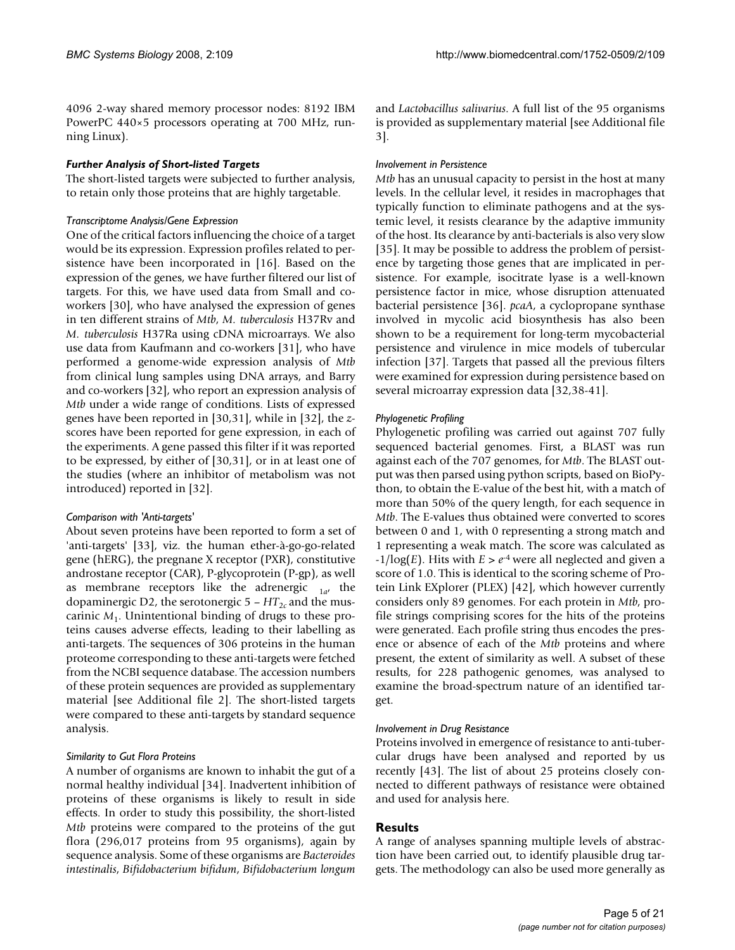4096 2-way shared memory processor nodes: 8192 IBM PowerPC 440×5 processors operating at 700 MHz, running Linux).

## *Further Analysis of Short-listed Targets*

The short-listed targets were subjected to further analysis, to retain only those proteins that are highly targetable.

#### *Transcriptome Analysis/Gene Expression*

One of the critical factors influencing the choice of a target would be its expression. Expression profiles related to persistence have been incorporated in [[16](#page-18-6)]. Based on the expression of the genes, we have further filtered our list of targets. For this, we have used data from Small and coworkers [\[30](#page-18-14)], who have analysed the expression of genes in ten different strains of *Mtb*, *M. tuberculosis* H37Rv and *M. tuberculosis* H37Ra using cDNA microarrays. We also use data from Kaufmann and co-workers [\[31](#page-18-15)], who have performed a genome-wide expression analysis of *Mtb* from clinical lung samples using DNA arrays, and Barry and co-workers [[32\]](#page-18-16), who report an expression analysis of *Mtb* under a wide range of conditions. Lists of expressed genes have been reported in [[30,](#page-18-14)[31](#page-18-15)], while in [\[32](#page-18-16)], the *z*scores have been reported for gene expression, in each of the experiments. A gene passed this filter if it was reported to be expressed, by either of [\[30](#page-18-14)[,31](#page-18-15)], or in at least one of the studies (where an inhibitor of metabolism was not introduced) reported in [[32](#page-18-16)].

## *Comparison with 'Anti-targets'*

About seven proteins have been reported to form a set of 'anti-targets' [\[33](#page-18-27)], viz. the human ether-à-go-go-related gene (hERG), the pregnane X receptor (PXR), constitutive androstane receptor (CAR), P-glycoprotein (P-gp), as well as membrane receptors like the adrenergic <sub>1a</sub>, the dopaminergic D2, the serotonergic  $5 - HT_{2c}$  and the muscarinic  $M_1$ . Unintentional binding of drugs to these proteins causes adverse effects, leading to their labelling as anti-targets. The sequences of 306 proteins in the human proteome corresponding to these anti-targets were fetched from the NCBI sequence database. The accession numbers of these protein sequences are provided as supplementary material [see Additional file [2](#page-17-9)]. The short-listed targets were compared to these anti-targets by standard sequence analysis.

## *Similarity to Gut Flora Proteins*

A number of organisms are known to inhabit the gut of a normal healthy individual [[34\]](#page-18-28). Inadvertent inhibition of proteins of these organisms is likely to result in side effects. In order to study this possibility, the short-listed *Mtb* proteins were compared to the proteins of the gut flora (296,017 proteins from 95 organisms), again by sequence analysis. Some of these organisms are *Bacteroides intestinalis*, *Bifidobacterium bifidum*, *Bifidobacterium longum*

and *Lactobacillus salivarius*. A full list of the 95 organisms is provided as supplementary material [see Additional file [3](#page-17-10)].

#### *Involvement in Persistence*

*Mtb* has an unusual capacity to persist in the host at many levels. In the cellular level, it resides in macrophages that typically function to eliminate pathogens and at the systemic level, it resists clearance by the adaptive immunity of the host. Its clearance by anti-bacterials is also very slow [[35](#page-18-29)]. It may be possible to address the problem of persistence by targeting those genes that are implicated in persistence. For example, isocitrate lyase is a well-known persistence factor in mice, whose disruption attenuated bacterial persistence [[36\]](#page-18-30). *pcaA*, a cyclopropane synthase involved in mycolic acid biosynthesis has also been shown to be a requirement for long-term mycobacterial persistence and virulence in mice models of tubercular infection [\[37](#page-18-31)]. Targets that passed all the previous filters were examined for expression during persistence based on several microarray expression data [[32](#page-18-16)[,38](#page-18-19)[-41](#page-18-20)].

## *Phylogenetic Profiling*

Phylogenetic profiling was carried out against 707 fully sequenced bacterial genomes. First, a BLAST was run against each of the 707 genomes, for *Mtb*. The BLAST output was then parsed using python scripts, based on BioPython, to obtain the E-value of the best hit, with a match of more than 50% of the query length, for each sequence in *Mtb*. The E-values thus obtained were converted to scores between 0 and 1, with 0 representing a strong match and 1 representing a weak match. The score was calculated as  $-1/\log(E)$ . Hits with  $E > e^{-4}$  were all neglected and given a score of 1.0. This is identical to the scoring scheme of Protein Link EXplorer (PLEX) [[42\]](#page-18-32), which however currently considers only 89 genomes. For each protein in *Mtb*, profile strings comprising scores for the hits of the proteins were generated. Each profile string thus encodes the presence or absence of each of the *Mtb* proteins and where present, the extent of similarity as well. A subset of these results, for 228 pathogenic genomes, was analysed to examine the broad-spectrum nature of an identified target.

#### *Involvement in Drug Resistance*

Proteins involved in emergence of resistance to anti-tubercular drugs have been analysed and reported by us recently [\[43](#page-18-33)]. The list of about 25 proteins closely connected to different pathways of resistance were obtained and used for analysis here.

## **Results**

A range of analyses spanning multiple levels of abstraction have been carried out, to identify plausible drug targets. The methodology can also be used more generally as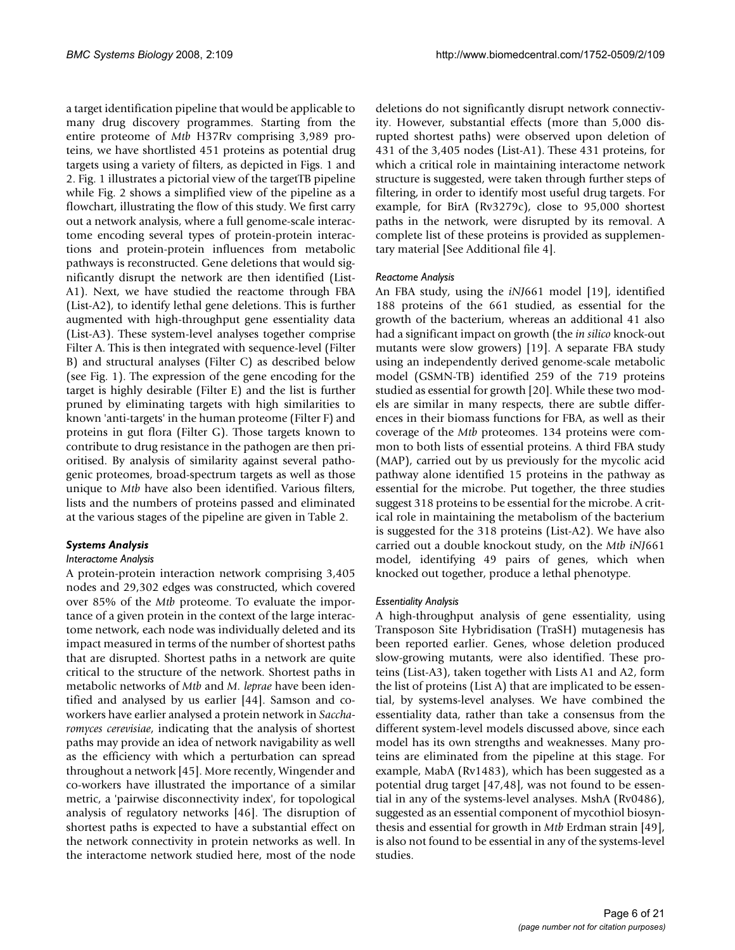a target identification pipeline that would be applicable to many drug discovery programmes. Starting from the entire proteome of *Mtb* H37Rv comprising 3,989 proteins, we have shortlisted 451 proteins as potential drug targets using a variety of filters, as depicted in Figs. [1](#page-7-0) and [2.](#page-8-0) Fig. [1](#page-7-0) illustrates a pictorial view of the targetTB pipeline while Fig. [2](#page-8-0) shows a simplified view of the pipeline as a flowchart, illustrating the flow of this study. We first carry out a network analysis, where a full genome-scale interactome encoding several types of protein-protein interactions and protein-protein influences from metabolic pathways is reconstructed. Gene deletions that would significantly disrupt the network are then identified (List-A1). Next, we have studied the reactome through FBA (List-A2), to identify lethal gene deletions. This is further augmented with high-throughput gene essentiality data (List-A3). These system-level analyses together comprise Filter A. This is then integrated with sequence-level (Filter B) and structural analyses (Filter C) as described below (see Fig. [1\)](#page-7-0). The expression of the gene encoding for the target is highly desirable (Filter E) and the list is further pruned by eliminating targets with high similarities to known 'anti-targets' in the human proteome (Filter F) and proteins in gut flora (Filter G). Those targets known to contribute to drug resistance in the pathogen are then prioritised. By analysis of similarity against several pathogenic proteomes, broad-spectrum targets as well as those unique to *Mtb* have also been identified. Various filters, lists and the numbers of proteins passed and eliminated at the various stages of the pipeline are given in Table [2.](#page-6-0)

## *Systems Analysis*

## *Interactome Analysis*

A protein-protein interaction network comprising 3,405 nodes and 29,302 edges was constructed, which covered over 85% of the *Mtb* proteome. To evaluate the importance of a given protein in the context of the large interactome network, each node was individually deleted and its impact measured in terms of the number of shortest paths that are disrupted. Shortest paths in a network are quite critical to the structure of the network. Shortest paths in metabolic networks of *Mtb* and *M. leprae* have been identified and analysed by us earlier [\[44](#page-18-34)]. Samson and coworkers have earlier analysed a protein network in *Saccharomyces cerevisiae*, indicating that the analysis of shortest paths may provide an idea of network navigability as well as the efficiency with which a perturbation can spread throughout a network [[45\]](#page-18-35). More recently, Wingender and co-workers have illustrated the importance of a similar metric, a 'pairwise disconnectivity index', for topological analysis of regulatory networks [\[46](#page-18-36)]. The disruption of shortest paths is expected to have a substantial effect on the network connectivity in protein networks as well. In the interactome network studied here, most of the node deletions do not significantly disrupt network connectivity. However, substantial effects (more than 5,000 disrupted shortest paths) were observed upon deletion of 431 of the 3,405 nodes (List-A1). These 431 proteins, for which a critical role in maintaining interactome network structure is suggested, were taken through further steps of filtering, in order to identify most useful drug targets. For example, for BirA (Rv3279c), close to 95,000 shortest paths in the network, were disrupted by its removal. A complete list of these proteins is provided as supplementary material [See Additional file [4](#page-17-11)].

## *Reactome Analysis*

An FBA study, using the *iNJ*661 model [\[19](#page-18-9)], identified 188 proteins of the 661 studied, as essential for the growth of the bacterium, whereas an additional 41 also had a significant impact on growth (the *in silico* knock-out mutants were slow growers) [\[19\]](#page-18-9). A separate FBA study using an independently derived genome-scale metabolic model (GSMN-TB) identified 259 of the 719 proteins studied as essential for growth [[20\]](#page-18-10). While these two models are similar in many respects, there are subtle differences in their biomass functions for FBA, as well as their coverage of the *Mtb* proteomes. 134 proteins were common to both lists of essential proteins. A third FBA study (MAP), carried out by us previously for the mycolic acid pathway alone identified 15 proteins in the pathway as essential for the microbe. Put together, the three studies suggest 318 proteins to be essential for the microbe. A critical role in maintaining the metabolism of the bacterium is suggested for the 318 proteins (List-A2). We have also carried out a double knockout study, on the *Mtb iNJ*661 model, identifying 49 pairs of genes, which when knocked out together, produce a lethal phenotype.

## *Essentiality Analysis*

A high-throughput analysis of gene essentiality, using Transposon Site Hybridisation (TraSH) mutagenesis has been reported earlier. Genes, whose deletion produced slow-growing mutants, were also identified. These proteins (List-A3), taken together with Lists A1 and A2, form the list of proteins (List A) that are implicated to be essential, by systems-level analyses. We have combined the essentiality data, rather than take a consensus from the different system-level models discussed above, since each model has its own strengths and weaknesses. Many proteins are eliminated from the pipeline at this stage. For example, MabA (Rv1483), which has been suggested as a potential drug target [\[47,](#page-18-37)[48](#page-18-38)], was not found to be essential in any of the systems-level analyses. MshA (Rv0486), suggested as an essential component of mycothiol biosynthesis and essential for growth in *Mtb* Erdman strain [\[49](#page-18-39)], is also not found to be essential in any of the systems-level studies.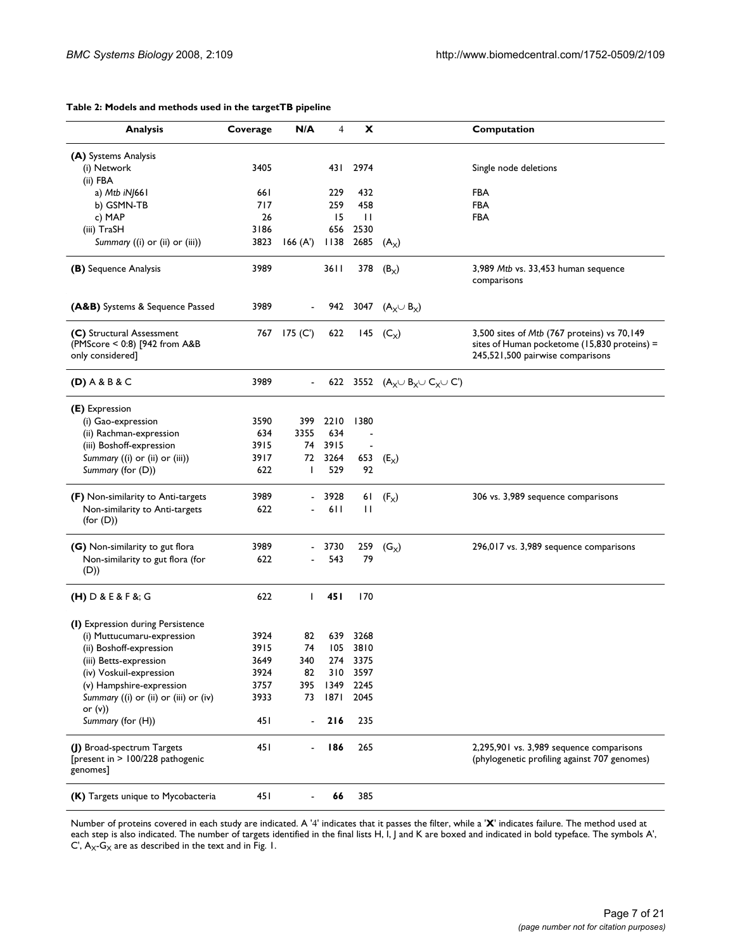#### <span id="page-6-0"></span>**Table 2: Models and methods used in the targetTB pipeline**

| Analysis                                                                   | Coverage | N/A                      | $\overline{4}$ | X                        |                                            | Computation                                                                              |
|----------------------------------------------------------------------------|----------|--------------------------|----------------|--------------------------|--------------------------------------------|------------------------------------------------------------------------------------------|
|                                                                            |          |                          |                |                          |                                            |                                                                                          |
| (A) Systems Analysis                                                       |          |                          |                |                          |                                            |                                                                                          |
| (i) Network                                                                | 3405     |                          | 43 I           | 2974                     |                                            | Single node deletions                                                                    |
| (ii) FBA                                                                   |          |                          |                |                          |                                            |                                                                                          |
| a) $Mtb$ $i$ N $j$ 661                                                     | 66 I     |                          | 229            | 432                      |                                            | FBA                                                                                      |
| b) GSMN-TB                                                                 | 717      |                          | 259            | 458                      |                                            | <b>FBA</b>                                                                               |
| c) MAP                                                                     | 26       |                          | 15             | $\mathbf{H}$             |                                            | <b>FBA</b>                                                                               |
| (iii) TraSH                                                                | 3186     |                          | 656            | 2530                     |                                            |                                                                                          |
| Summary ((i) or (ii) or (iii))                                             | 3823     | 166(A')                  | 1138           | 2685                     | $(A_{\times})$                             |                                                                                          |
| (B) Sequence Analysis                                                      | 3989     |                          | 3611           | 378                      | $(B_{\times})$                             | 3,989 Mtb vs. 33,453 human sequence<br>comparisons                                       |
| (A&B) Systems & Sequence Passed                                            | 3989     | $\blacksquare$           |                |                          | 942 3047 $(A_X \cup B_X)$                  |                                                                                          |
| (C) Structural Assessment                                                  | 767      | 175 (C)                  | 622            |                          | 145 $(C_{x})$                              | 3,500 sites of Mtb (767 proteins) vs 70,149                                              |
| (PMScore < 0:8) [942 from A&B<br>only considered]                          |          |                          |                |                          |                                            | sites of Human pocketome (15,830 proteins) =<br>245,521,500 pairwise comparisons         |
| $(D)$ A & B & C                                                            | 3989     |                          |                |                          | 622 3552 $(A_x \cup B_x \cup C_x \cup C')$ |                                                                                          |
|                                                                            |          |                          |                |                          |                                            |                                                                                          |
| (E) Expression                                                             |          |                          |                |                          |                                            |                                                                                          |
| (i) Gao-expression                                                         | 3590     | 399                      | 2210           | 1380                     |                                            |                                                                                          |
| (ii) Rachman-expression                                                    | 634      | 3355                     | 634            |                          |                                            |                                                                                          |
| (iii) Boshoff-expression                                                   | 3915     | 74                       | 3915           | $\overline{\phantom{a}}$ |                                            |                                                                                          |
| Summary ((i) or (ii) or (iii))                                             | 3917     | 72                       | 3264           |                          | 653 (E <sub>X</sub> )                      |                                                                                          |
| Summary (for (D))                                                          | 622      | T                        | 529            | 92                       |                                            |                                                                                          |
| (F) Non-similarity to Anti-targets                                         | 3989     |                          | 3928           | 6 I                      | $(F_x)$                                    | 306 vs. 3,989 sequence comparisons                                                       |
| Non-similarity to Anti-targets<br>(for (D))                                | 622      |                          | 611            | $\mathbf{H}$             |                                            |                                                                                          |
| (G) Non-similarity to gut flora                                            | 3989     |                          | 3730           | 259                      | $(G_{\chi})$                               | 296,017 vs. 3,989 sequence comparisons                                                   |
| Non-similarity to gut flora (for<br>(D))                                   | 622      |                          | 543            | 79                       |                                            |                                                                                          |
| (H) D & E & E & F & G                                                      | 622      | L                        | 45 I           | 170                      |                                            |                                                                                          |
| (I) Expression during Persistence                                          |          |                          |                |                          |                                            |                                                                                          |
| (i) Muttucumaru-expression                                                 | 3924     | 82                       | 639            | 3268                     |                                            |                                                                                          |
| (ii) Boshoff-expression                                                    | 3915     | 74                       |                | 105 3810                 |                                            |                                                                                          |
| (iii) Betts-expression                                                     | 3649     | 340                      |                | 274 3375                 |                                            |                                                                                          |
|                                                                            | 3924     | 82                       | 310            | 3597                     |                                            |                                                                                          |
| (iv) Voskuil-expression                                                    |          |                          |                |                          |                                            |                                                                                          |
| (v) Hampshire-expression                                                   | 3757     | 395                      | 1349           | 2245                     |                                            |                                                                                          |
| Summary ((i) or (ii) or (iii) or (iv)<br>or $(v)$ )                        | 3933     | 73                       | 1871           | 2045                     |                                            |                                                                                          |
| Summary (for (H))                                                          | 45 I     | $\overline{\phantom{a}}$ | 216            | 235                      |                                            |                                                                                          |
| (J) Broad-spectrum Targets<br>[present in > 100/228 pathogenic<br>genomes] | 45 I     | $\blacksquare$           | 186            | 265                      |                                            | 2,295,901 vs. 3,989 sequence comparisons<br>(phylogenetic profiling against 707 genomes) |
| (K) Targets unique to Mycobacteria                                         | 45 I     |                          | 66             | 385                      |                                            |                                                                                          |

Number of proteins covered in each study are indicated. A '4' indicates that it passes the filter, while a '**X**' indicates failure. The method used at each step is also indicated. The number of targets identified in the final lists H, I, J and K are boxed and indicated in bold typeface. The symbols A', C',  $A_\chi$ -G $_\chi$  are as described in the text and in Fig. 1.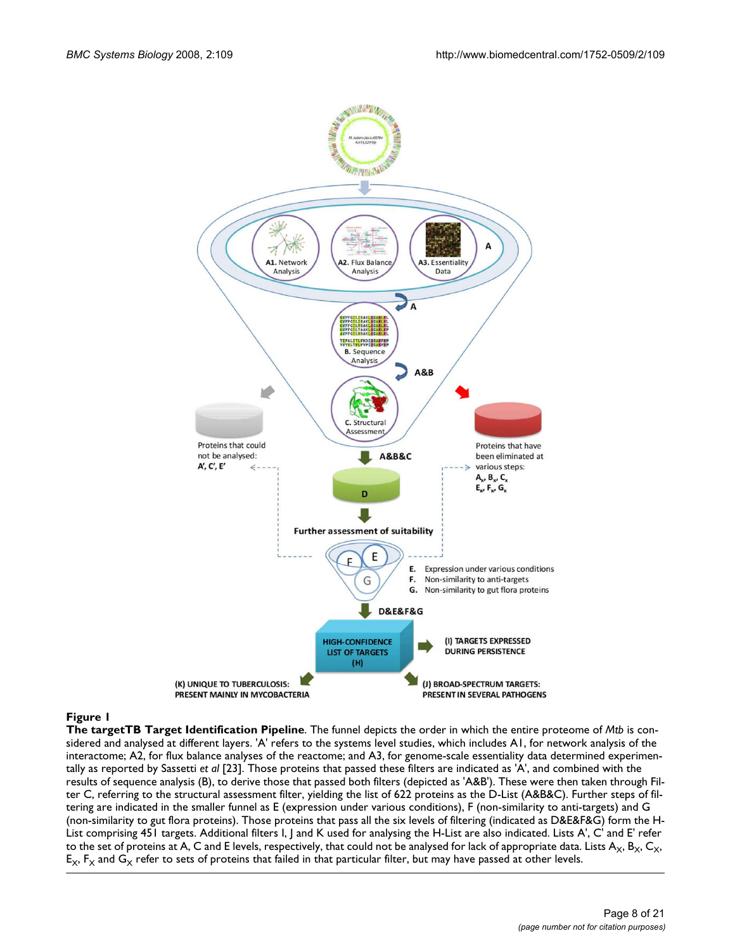<span id="page-7-0"></span>

## Figure 1

**The targetTB Target Identification Pipeline**. The funnel depicts the order in which the entire proteome of *Mtb* is considered and analysed at different layers. 'A' refers to the systems level studies, which includes A1, for network analysis of the interactome; A2, for flux balance analyses of the reactome; and A3, for genome-scale essentiality data determined experimentally as reported by Sassetti *et al* [[23](#page-18-12)]. Those proteins that passed these filters are indicated as 'A', and combined with the results of sequence analysis (B), to derive those that passed both filters (depicted as 'A&B'). These were then taken through Filter C, referring to the structural assessment filter, yielding the list of 622 proteins as the D-List (A&B&C). Further steps of filtering are indicated in the smaller funnel as E (expression under various conditions), F (non-similarity to anti-targets) and G (non-similarity to gut flora proteins). Those proteins that pass all the six levels of filtering (indicated as D&E&F&G) form the H-List comprising 451 targets. Additional filters I, J and K used for analysing the H-List are also indicated. Lists A', C' and E' refer to the set of proteins at A, C and E levels, respectively, that could not be analysed for lack of appropriate data. Lists  $A_X$ ,  $B_X$ ,  $C_X$ ,  $\mathsf{E}_\mathsf{X},\mathsf{F}_\mathsf{X}$  and  $\mathsf{G}_\mathsf{X}$  refer to sets of proteins that failed in that particular filter, but may have passed at other levels.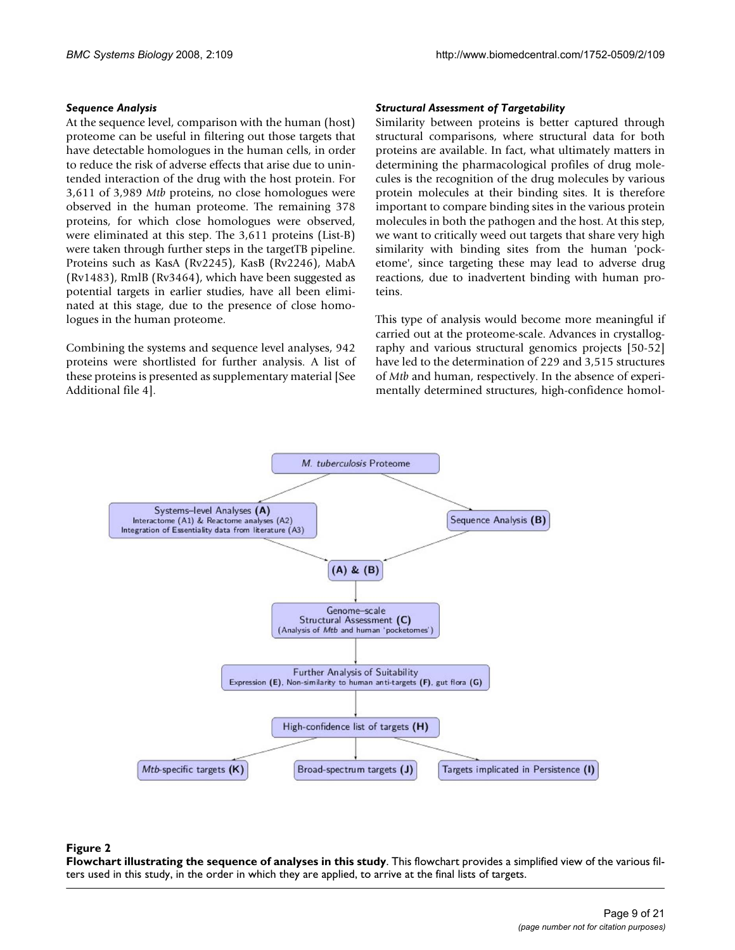## *Sequence Analysis*

At the sequence level, comparison with the human (host) proteome can be useful in filtering out those targets that have detectable homologues in the human cells, in order to reduce the risk of adverse effects that arise due to unintended interaction of the drug with the host protein. For 3,611 of 3,989 *Mtb* proteins, no close homologues were observed in the human proteome. The remaining 378 proteins, for which close homologues were observed, were eliminated at this step. The 3,611 proteins (List-B) were taken through further steps in the targetTB pipeline. Proteins such as KasA (Rv2245), KasB (Rv2246), MabA (Rv1483), RmlB (Rv3464), which have been suggested as potential targets in earlier studies, have all been eliminated at this stage, due to the presence of close homologues in the human proteome.

Combining the systems and sequence level analyses, 942 proteins were shortlisted for further analysis. A list of these proteins is presented as supplementary material [See Additional file [4\]](#page-17-11).

## *Structural Assessment of Targetability*

Similarity between proteins is better captured through structural comparisons, where structural data for both proteins are available. In fact, what ultimately matters in determining the pharmacological profiles of drug molecules is the recognition of the drug molecules by various protein molecules at their binding sites. It is therefore important to compare binding sites in the various protein molecules in both the pathogen and the host. At this step, we want to critically weed out targets that share very high similarity with binding sites from the human 'pocketome', since targeting these may lead to adverse drug reactions, due to inadvertent binding with human proteins.

This type of analysis would become more meaningful if carried out at the proteome-scale. Advances in crystallography and various structural genomics projects [[50-](#page-18-40)[52\]](#page-19-0) have led to the determination of 229 and 3,515 structures of *Mtb* and human, respectively. In the absence of experimentally determined structures, high-confidence homol-

<span id="page-8-0"></span>

## Figure 2

**Flowchart illustrating the sequence of analyses in this study**. This flowchart provides a simplified view of the various filters used in this study, in the order in which they are applied, to arrive at the final lists of targets.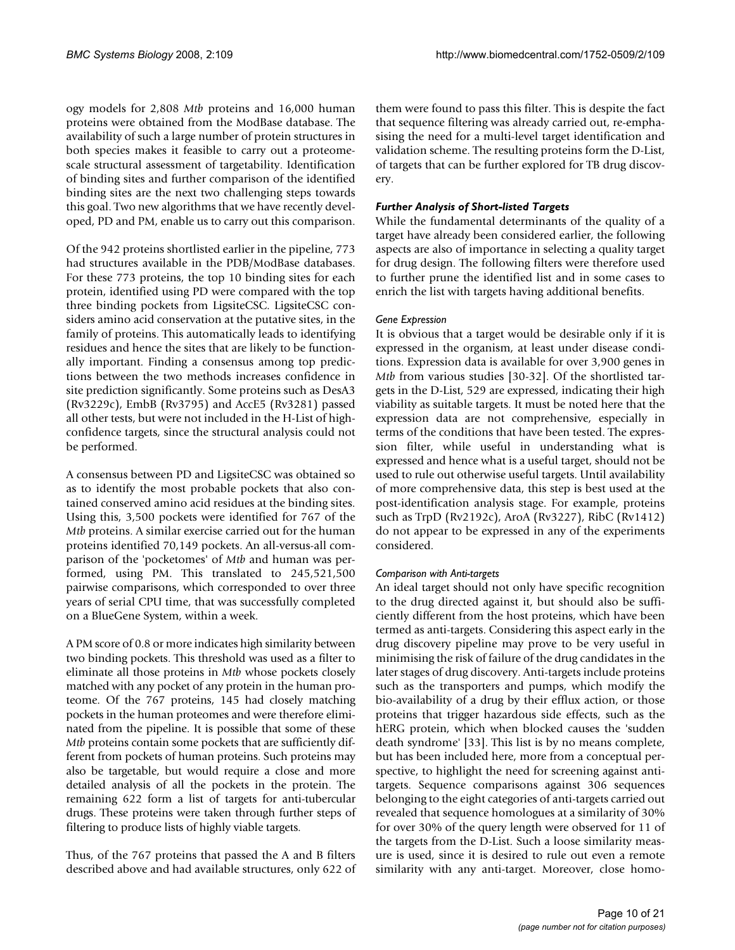ogy models for 2,808 *Mtb* proteins and 16,000 human proteins were obtained from the ModBase database. The availability of such a large number of protein structures in both species makes it feasible to carry out a proteomescale structural assessment of targetability. Identification of binding sites and further comparison of the identified binding sites are the next two challenging steps towards this goal. Two new algorithms that we have recently developed, PD and PM, enable us to carry out this comparison.

Of the 942 proteins shortlisted earlier in the pipeline, 773 had structures available in the PDB/ModBase databases. For these 773 proteins, the top 10 binding sites for each protein, identified using PD were compared with the top three binding pockets from LigsiteCSC. LigsiteCSC considers amino acid conservation at the putative sites, in the family of proteins. This automatically leads to identifying residues and hence the sites that are likely to be functionally important. Finding a consensus among top predictions between the two methods increases confidence in site prediction significantly. Some proteins such as DesA3 (Rv3229c), EmbB (Rv3795) and AccE5 (Rv3281) passed all other tests, but were not included in the H-List of highconfidence targets, since the structural analysis could not be performed.

A consensus between PD and LigsiteCSC was obtained so as to identify the most probable pockets that also contained conserved amino acid residues at the binding sites. Using this, 3,500 pockets were identified for 767 of the *Mtb* proteins. A similar exercise carried out for the human proteins identified 70,149 pockets. An all-versus-all comparison of the 'pocketomes' of *Mtb* and human was performed, using PM. This translated to 245,521,500 pairwise comparisons, which corresponded to over three years of serial CPU time, that was successfully completed on a BlueGene System, within a week.

A PM score of 0.8 or more indicates high similarity between two binding pockets. This threshold was used as a filter to eliminate all those proteins in *Mtb* whose pockets closely matched with any pocket of any protein in the human proteome. Of the 767 proteins, 145 had closely matching pockets in the human proteomes and were therefore eliminated from the pipeline. It is possible that some of these *Mtb* proteins contain some pockets that are sufficiently different from pockets of human proteins. Such proteins may also be targetable, but would require a close and more detailed analysis of all the pockets in the protein. The remaining 622 form a list of targets for anti-tubercular drugs. These proteins were taken through further steps of filtering to produce lists of highly viable targets.

Thus, of the 767 proteins that passed the A and B filters described above and had available structures, only 622 of them were found to pass this filter. This is despite the fact that sequence filtering was already carried out, re-emphasising the need for a multi-level target identification and validation scheme. The resulting proteins form the D-List, of targets that can be further explored for TB drug discovery.

## *Further Analysis of Short-listed Targets*

While the fundamental determinants of the quality of a target have already been considered earlier, the following aspects are also of importance in selecting a quality target for drug design. The following filters were therefore used to further prune the identified list and in some cases to enrich the list with targets having additional benefits.

## *Gene Expression*

It is obvious that a target would be desirable only if it is expressed in the organism, at least under disease conditions. Expression data is available for over 3,900 genes in *Mtb* from various studies [[30-](#page-18-14)[32\]](#page-18-16). Of the shortlisted targets in the D-List, 529 are expressed, indicating their high viability as suitable targets. It must be noted here that the expression data are not comprehensive, especially in terms of the conditions that have been tested. The expression filter, while useful in understanding what is expressed and hence what is a useful target, should not be used to rule out otherwise useful targets. Until availability of more comprehensive data, this step is best used at the post-identification analysis stage. For example, proteins such as TrpD (Rv2192c), AroA (Rv3227), RibC (Rv1412) do not appear to be expressed in any of the experiments considered.

## *Comparison with Anti-targets*

An ideal target should not only have specific recognition to the drug directed against it, but should also be sufficiently different from the host proteins, which have been termed as anti-targets. Considering this aspect early in the drug discovery pipeline may prove to be very useful in minimising the risk of failure of the drug candidates in the later stages of drug discovery. Anti-targets include proteins such as the transporters and pumps, which modify the bio-availability of a drug by their efflux action, or those proteins that trigger hazardous side effects, such as the hERG protein, which when blocked causes the 'sudden death syndrome' [[33\]](#page-18-27). This list is by no means complete, but has been included here, more from a conceptual perspective, to highlight the need for screening against antitargets. Sequence comparisons against 306 sequences belonging to the eight categories of anti-targets carried out revealed that sequence homologues at a similarity of 30% for over 30% of the query length were observed for 11 of the targets from the D-List. Such a loose similarity measure is used, since it is desired to rule out even a remote similarity with any anti-target. Moreover, close homo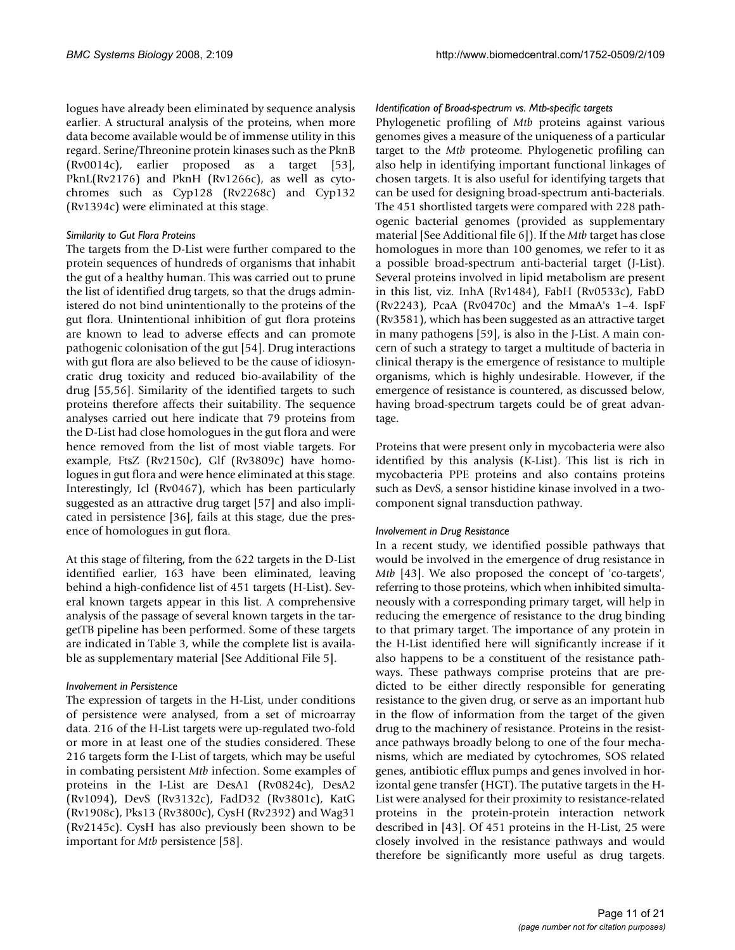logues have already been eliminated by sequence analysis earlier. A structural analysis of the proteins, when more data become available would be of immense utility in this regard. Serine/Threonine protein kinases such as the PknB (Rv0014c), earlier proposed as a target [\[53](#page-19-1)], PknL(Rv2176) and PknH (Rv1266c), as well as cytochromes such as Cyp128 (Rv2268c) and Cyp132 (Rv1394c) were eliminated at this stage.

#### *Similarity to Gut Flora Proteins*

The targets from the D-List were further compared to the protein sequences of hundreds of organisms that inhabit the gut of a healthy human. This was carried out to prune the list of identified drug targets, so that the drugs administered do not bind unintentionally to the proteins of the gut flora. Unintentional inhibition of gut flora proteins are known to lead to adverse effects and can promote pathogenic colonisation of the gut [\[54\]](#page-19-2). Drug interactions with gut flora are also believed to be the cause of idiosyncratic drug toxicity and reduced bio-availability of the drug [\[55](#page-19-3),[56\]](#page-19-4). Similarity of the identified targets to such proteins therefore affects their suitability. The sequence analyses carried out here indicate that 79 proteins from the D-List had close homologues in the gut flora and were hence removed from the list of most viable targets. For example, FtsZ (Rv2150c), Glf (Rv3809c) have homologues in gut flora and were hence eliminated at this stage. Interestingly, Icl (Rv0467), which has been particularly suggested as an attractive drug target [[57\]](#page-19-5) and also implicated in persistence [\[36](#page-18-30)], fails at this stage, due the presence of homologues in gut flora.

At this stage of filtering, from the 622 targets in the D-List identified earlier, 163 have been eliminated, leaving behind a high-confidence list of 451 targets (H-List). Several known targets appear in this list. A comprehensive analysis of the passage of several known targets in the targetTB pipeline has been performed. Some of these targets are indicated in Table [3,](#page-11-0) while the complete list is available as supplementary material [See Additional File [5\]](#page-17-12).

#### *Involvement in Persistence*

The expression of targets in the H-List, under conditions of persistence were analysed, from a set of microarray data. 216 of the H-List targets were up-regulated two-fold or more in at least one of the studies considered. These 216 targets form the I-List of targets, which may be useful in combating persistent *Mtb* infection. Some examples of proteins in the I-List are DesA1 (Rv0824c), DesA2 (Rv1094), DevS (Rv3132c), FadD32 (Rv3801c), KatG (Rv1908c), Pks13 (Rv3800c), CysH (Rv2392) and Wag31 (Rv2145c). CysH has also previously been shown to be important for *Mtb* persistence [[58\]](#page-19-6).

#### *Identification of Broad-spectrum vs. Mtb-specific targets*

Phylogenetic profiling of *Mtb* proteins against various genomes gives a measure of the uniqueness of a particular target to the *Mtb* proteome. Phylogenetic profiling can also help in identifying important functional linkages of chosen targets. It is also useful for identifying targets that can be used for designing broad-spectrum anti-bacterials. The 451 shortlisted targets were compared with 228 pathogenic bacterial genomes (provided as supplementary material [See Additional file [6](#page-17-13)]). If the *Mtb* target has close homologues in more than 100 genomes, we refer to it as a possible broad-spectrum anti-bacterial target (J-List). Several proteins involved in lipid metabolism are present in this list, viz. InhA (Rv1484), FabH (Rv0533c), FabD (Rv2243), PcaA (Rv0470c) and the MmaA's 1–4. IspF (Rv3581), which has been suggested as an attractive target in many pathogens [\[59](#page-19-7)], is also in the J-List. A main concern of such a strategy to target a multitude of bacteria in clinical therapy is the emergence of resistance to multiple organisms, which is highly undesirable. However, if the emergence of resistance is countered, as discussed below, having broad-spectrum targets could be of great advantage.

Proteins that were present only in mycobacteria were also identified by this analysis (K-List). This list is rich in mycobacteria PPE proteins and also contains proteins such as DevS, a sensor histidine kinase involved in a twocomponent signal transduction pathway.

## *Involvement in Drug Resistance*

In a recent study, we identified possible pathways that would be involved in the emergence of drug resistance in *Mtb* [[43\]](#page-18-33). We also proposed the concept of 'co-targets', referring to those proteins, which when inhibited simultaneously with a corresponding primary target, will help in reducing the emergence of resistance to the drug binding to that primary target. The importance of any protein in the H-List identified here will significantly increase if it also happens to be a constituent of the resistance pathways. These pathways comprise proteins that are predicted to be either directly responsible for generating resistance to the given drug, or serve as an important hub in the flow of information from the target of the given drug to the machinery of resistance. Proteins in the resistance pathways broadly belong to one of the four mechanisms, which are mediated by cytochromes, SOS related genes, antibiotic efflux pumps and genes involved in horizontal gene transfer (HGT). The putative targets in the H-List were analysed for their proximity to resistance-related proteins in the protein-protein interaction network described in [\[43\]](#page-18-33). Of 451 proteins in the H-List, 25 were closely involved in the resistance pathways and would therefore be significantly more useful as drug targets.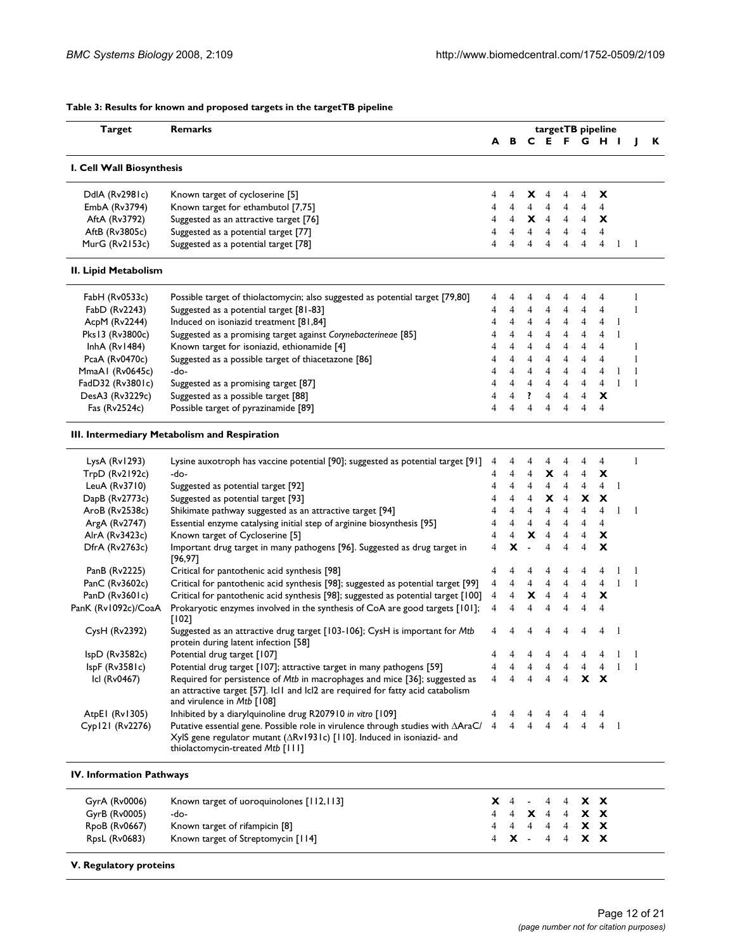<span id="page-11-0"></span>**Table 3: Results for known and proposed targets in the targetTB pipeline**

| <b>Target</b>                    | target TB pipeline                                                                                                                                                                          |                |        |                     |                |                        |             |                |              |    |   |
|----------------------------------|---------------------------------------------------------------------------------------------------------------------------------------------------------------------------------------------|----------------|--------|---------------------|----------------|------------------------|-------------|----------------|--------------|----|---|
|                                  | Remarks                                                                                                                                                                                     | A              | в      |                     |                |                        | C E F G H I |                |              | L  | K |
|                                  |                                                                                                                                                                                             |                |        |                     |                |                        |             |                |              |    |   |
| I. Cell Wall Biosynthesis        |                                                                                                                                                                                             |                |        |                     |                |                        |             |                |              |    |   |
| DdIA (Rv2981c)                   | Known target of cycloserine [5]                                                                                                                                                             | 4              | 4      | x.                  | 4              | 4                      | 4           | х              |              |    |   |
| EmbA (Rv3794)                    | Known target for ethambutol [7,75]                                                                                                                                                          | 4              | 4      | 4                   | 4              | 4                      | 4           | 4              |              |    |   |
| AftA (Rv3792)                    | Suggested as an attractive target [76]                                                                                                                                                      | 4              | 4      | x                   | 4              | 4                      | 4           | X              |              |    |   |
| AftB (Rv3805c)                   | Suggested as a potential target [77]                                                                                                                                                        | 4              | 4      | 4                   | 4              | 4                      | 4           | 4              |              |    |   |
| MurG (Rv2153c)                   | Suggested as a potential target [78]                                                                                                                                                        | 4              | 4      | 4                   | 4              | $\overline{4}$         | 4           | 4              | -1           | -1 |   |
| II. Lipid Metabolism             |                                                                                                                                                                                             |                |        |                     |                |                        |             |                |              |    |   |
| FabH (Rv0533c)                   | Possible target of thiolactomycin; also suggested as potential target [79,80]                                                                                                               | 4              | 4      | 4                   | 4              | 4                      | 4           | 4              |              | H  |   |
| FabD (Rv2243)                    | Suggested as a potential target [81-83]                                                                                                                                                     | 4              | 4      | 4                   | 4              | 4                      | 4           | 4              |              | 1  |   |
| AcpM (Rv2244)                    | Induced on isoniazid treatment [81,84]                                                                                                                                                      | 4              | 4      | 4                   | 4              | 4                      | 4           | 4              | -1           |    |   |
| Pks 13 (Rv3800c)                 | Suggested as a promising target against Corynebacterineae [85]                                                                                                                              | 4              | 4      | 4                   | 4              | 4                      | 4           | 4              | -1           |    |   |
| InhA (Rv1484)                    | Known target for isoniazid, ethionamide [4]                                                                                                                                                 | 4              | 4      | 4                   | 4              | 4                      | 4           | 4              |              |    |   |
| PcaA (Rv0470c)                   | Suggested as a possible target of thiacetazone [86]                                                                                                                                         | 4              | 4      | 4                   | 4              | $\overline{4}$         | 4           | 4              |              | 1  |   |
| MmaAI (Rv0645c)                  | -do-                                                                                                                                                                                        | 4              | 4      | 4                   | 4              | $\overline{4}$         | 4           | 4              | -1           |    |   |
|                                  |                                                                                                                                                                                             |                | 4      |                     | 4              |                        |             |                | 1            | 1  |   |
| FadD32 (Rv3801c)                 | Suggested as a promising target [87]                                                                                                                                                        | 4              |        | 4                   |                | 4                      | 4           | 4              |              |    |   |
| DesA3 (Rv3229c)<br>Fas (Rv2524c) | Suggested as a possible target [88]<br>Possible target of pyrazinamide [89]                                                                                                                 | 4<br>4         | 4<br>4 | ?<br>$\overline{4}$ | 4<br>4         | 4<br>4                 | 4<br>4      | х<br>4         |              |    |   |
|                                  | III. Intermediary Metabolism and Respiration                                                                                                                                                |                |        |                     |                |                        |             |                |              |    |   |
| LysA (Rv1293)                    | Lysine auxotroph has vaccine potential [90]; suggested as potential target [91]                                                                                                             | 4              | 4      | 4                   | 4              | 4                      | 4           | 4              |              | 1  |   |
|                                  | -do-                                                                                                                                                                                        | 4              | 4      | 4                   | x              | $\overline{4}$         | 4           | X              |              |    |   |
| TrpD (Rv2192c)                   |                                                                                                                                                                                             |                |        | 4                   |                | $\overline{4}$         |             |                |              |    |   |
| LeuA (Rv3710)                    | Suggested as potential target [92]                                                                                                                                                          | 4              | 4      |                     | 4              |                        | 4           | 4              | $\mathbf{I}$ |    |   |
| DapB (Rv2773c)                   | Suggested as potential target [93]                                                                                                                                                          | 4              | 4      | 4                   | х              | 4                      | X           | X              |              |    |   |
| AroB (Rv2538c)                   | Shikimate pathway suggested as an attractive target [94]                                                                                                                                    | 4              | 4      | 4                   | 4              | $\overline{4}$         | 4           | 4              | -1           | -1 |   |
| ArgA (Rv2747)                    | Essential enzyme catalysing initial step of arginine biosynthesis [95]                                                                                                                      | 4              | 4      | 4                   | 4              | 4                      | 4           | 4              |              |    |   |
| AlrA (Rv3423c)                   | Known target of Cycloserine [5]                                                                                                                                                             | 4              | 4      | x                   | $\overline{4}$ | 4                      | 4           | х              |              |    |   |
| DfrA (Rv2763c)                   | Important drug target in many pathogens [96]. Suggested as drug target in<br>[96, 97]                                                                                                       | 4              | х      |                     | 4              | 4                      | 4           | x              |              |    |   |
| PanB (Rv2225)                    | Critical for pantothenic acid synthesis [98]                                                                                                                                                | 4              | 4      | 4                   | 4              | 4                      | 4           | 4              | -1           |    |   |
| PanC (Rv3602c)                   | Critical for pantothenic acid synthesis [98]; suggested as potential target [99]                                                                                                            | 4              | 4      | 4                   | 4              | 4                      | 4           | 4              | 1            | -1 |   |
| PanD (Rv3601c)                   | Critical for pantothenic acid synthesis [98]; suggested as potential target [100]                                                                                                           | 4              | 4      | х                   | 4              | 4                      | 4           | х              |              |    |   |
| PanK (Rv1092c)/CoaA              | Prokaryotic enzymes involved in the synthesis of CoA are good targets [101];                                                                                                                | 4              | 4      | 4                   | 4              | 4                      | 4           | 4              |              |    |   |
|                                  | [102]                                                                                                                                                                                       |                |        |                     |                |                        |             |                |              |    |   |
| CysH (Rv2392)                    | Suggested as an attractive drug target [103-106]; CysH is important for Mtb<br>protein during latent infection [58]                                                                         | 4              |        |                     | 4              | 4                      | 4           | 4              | -1           |    |   |
| IspD (Rv3582c)                   | Potential drug target [107]                                                                                                                                                                 | 4              | 4      | $\Lambda$           | $\Lambda$      | $\boldsymbol{\Lambda}$ |             |                |              |    |   |
| $IspF$ ( $Rv3581c$ )             | Potential drug target [107]; attractive target in many pathogens [59]                                                                                                                       | 4              | 4      | 4                   | 4              | 4                      | 4           | 4              | 1            | -1 |   |
| Icl (Rv0467)                     | Required for persistence of Mtb in macrophages and mice [36]; suggested as<br>an attractive target [57]. IcII and IcI2 are required for fatty acid catabolism<br>and virulence in Mtb [108] | 4              | 4      | 4                   | 4              | $\overline{4}$         |             | $X$ $X$        |              |    |   |
| AtpEI (Rv1305)                   | Inhibited by a diarylquinoline drug R207910 in vitro [109]                                                                                                                                  | 4              | 4      |                     |                |                        |             | 4              |              |    |   |
| Cyp121 (Rv2276)                  | Putative essential gene. Possible role in virulence through studies with AAraC/                                                                                                             | $\overline{4}$ | 4      | 4                   | 4              | $\overline{4}$         | 4           | $\overline{4}$ | - 1          |    |   |
|                                  | XylS gene regulator mutant (∆Rv1931c) [110]. Induced in isoniazid- and<br>thiolactomycin-treated Mtb [111]                                                                                  |                |        |                     |                |                        |             |                |              |    |   |
| IV. Information Pathways         |                                                                                                                                                                                             |                |        |                     |                |                        |             |                |              |    |   |
| GyrA (Rv0006)                    | Known target of uoroquinolones [112,113]                                                                                                                                                    | x              | 4      |                     | 4              | 4                      |             | x x            |              |    |   |
| GyrB (Rv0005)                    | -do-                                                                                                                                                                                        | 4              | 4      | x                   | 4              | 4                      |             | X X            |              |    |   |
| RpoB (Rv0667)                    | Known target of rifampicin [8]                                                                                                                                                              | 4              | 4      | 4                   | 4              | 4                      |             | X X            |              |    |   |
| <b>RpsL (Rv0683)</b>             | Known target of Streptomycin [114]                                                                                                                                                          | 4              | x      | $\sim$              | 4              | $\overline{4}$         |             | X X            |              |    |   |
|                                  |                                                                                                                                                                                             |                |        |                     |                |                        |             |                |              |    |   |

**V. Regulatory proteins**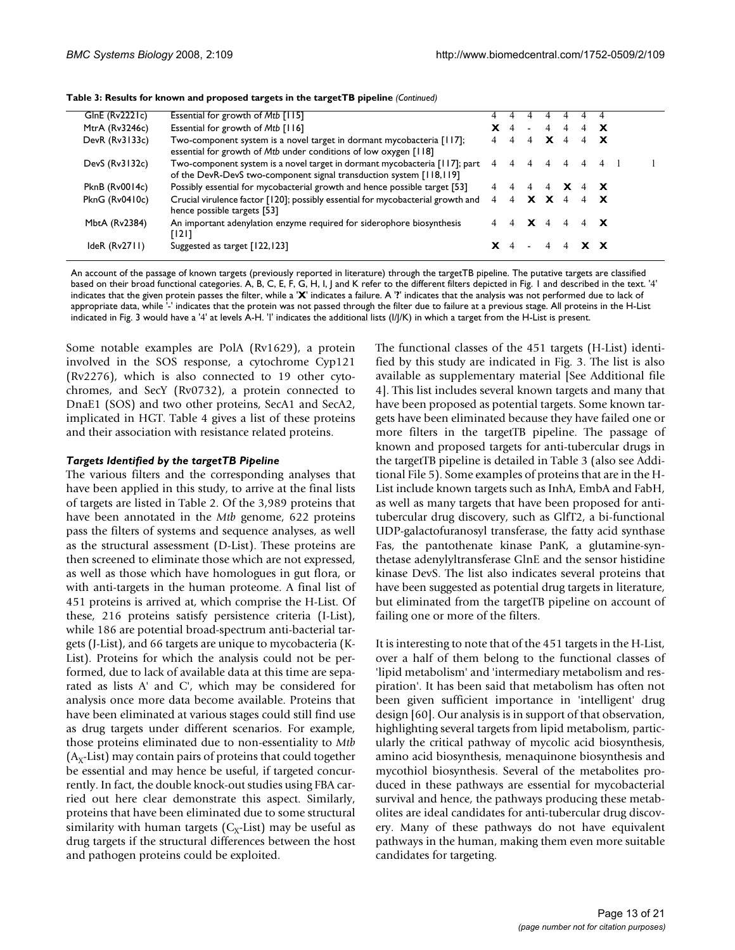| GlnE (Rv2221c)<br>Essential for growth of Mtb [115]<br>Essential for growth of Mtb [116]<br>MtrA (Rv3246c)<br>$\mathsf{X}$ 4<br>4<br>4<br>4<br>$\sim$<br>DevR (Rv3133c)<br>$\mathbf{x}$<br>Two-component system is a novel target in dormant mycobacteria [117];<br>X<br>$\overline{4}$<br>$\overline{4}$<br>$\overline{4}$<br>4<br>4<br>essential for growth of Mtb under conditions of low oxygen [118]<br>Two-component system is a novel target in dormant mycobacteria [117]; part<br>DevS $(Rv3132c)$<br>4<br>4<br>4<br>of the DevR-DevS two-component signal transduction system [118,119]<br>Possibly essential for mycobacterial growth and hence possible target [53]<br>PknB $(Rv0014c)$<br>4 <b>X</b> 4<br>X<br>4<br>4<br>4<br>Crucial virulence factor [120]; possibly essential for mycobacterial growth and<br>PknG $(Rv0410c)$<br>X.<br><b>X</b><br>4<br>4<br>4<br>hence possible targets [53]<br><b>MbtA (Rv2384)</b><br>An important adenylation enzyme required for siderophore biosynthesis<br>X.<br>4 X<br>4<br>4<br>4<br>[121] |  |
|------------------------------------------------------------------------------------------------------------------------------------------------------------------------------------------------------------------------------------------------------------------------------------------------------------------------------------------------------------------------------------------------------------------------------------------------------------------------------------------------------------------------------------------------------------------------------------------------------------------------------------------------------------------------------------------------------------------------------------------------------------------------------------------------------------------------------------------------------------------------------------------------------------------------------------------------------------------------------------------------------------------------------------------------------|--|
|                                                                                                                                                                                                                                                                                                                                                                                                                                                                                                                                                                                                                                                                                                                                                                                                                                                                                                                                                                                                                                                      |  |
|                                                                                                                                                                                                                                                                                                                                                                                                                                                                                                                                                                                                                                                                                                                                                                                                                                                                                                                                                                                                                                                      |  |
|                                                                                                                                                                                                                                                                                                                                                                                                                                                                                                                                                                                                                                                                                                                                                                                                                                                                                                                                                                                                                                                      |  |
|                                                                                                                                                                                                                                                                                                                                                                                                                                                                                                                                                                                                                                                                                                                                                                                                                                                                                                                                                                                                                                                      |  |
|                                                                                                                                                                                                                                                                                                                                                                                                                                                                                                                                                                                                                                                                                                                                                                                                                                                                                                                                                                                                                                                      |  |
|                                                                                                                                                                                                                                                                                                                                                                                                                                                                                                                                                                                                                                                                                                                                                                                                                                                                                                                                                                                                                                                      |  |
|                                                                                                                                                                                                                                                                                                                                                                                                                                                                                                                                                                                                                                                                                                                                                                                                                                                                                                                                                                                                                                                      |  |
| ldeR (Rv2711)<br>Suggested as target [122,123]<br>4 4 <b>X X</b><br>$\mathsf{X}$ 4<br>$\sim$                                                                                                                                                                                                                                                                                                                                                                                                                                                                                                                                                                                                                                                                                                                                                                                                                                                                                                                                                         |  |

**Table 3: Results for known and proposed targets in the targetTB pipeline** *(Continued)*

An account of the passage of known targets (previously reported in literature) through the targetTB pipeline. The putative targets are classified based on their broad functional categories. A, B, C, E, F, G, H, I, J and K refer to the different filters depicted in Fig. 1 and described in the text. '4' indicates that the given protein passes the filter, while a '**X**' indicates a failure. A '**?**' indicates that the analysis was not performed due to lack of appropriate data, while '-' indicates that the protein was not passed through the filter due to failure at a previous stage. All proteins in the H-List indicated in Fig. 3 would have a '4' at levels A-H. 'l' indicates the additional lists (I/J/K) in which a target from the H-List is present.

Some notable examples are PolA (Rv1629), a protein involved in the SOS response, a cytochrome Cyp121 (Rv2276), which is also connected to 19 other cytochromes, and SecY (Rv0732), a protein connected to DnaE1 (SOS) and two other proteins, SecA1 and SecA2, implicated in HGT. Table [4](#page-13-0) gives a list of these proteins and their association with resistance related proteins.

## *Targets Identified by the targetTB Pipeline*

The various filters and the corresponding analyses that have been applied in this study, to arrive at the final lists of targets are listed in Table [2.](#page-6-0) Of the 3,989 proteins that have been annotated in the *Mtb* genome, 622 proteins pass the filters of systems and sequence analyses, as well as the structural assessment (D-List). These proteins are then screened to eliminate those which are not expressed, as well as those which have homologues in gut flora, or with anti-targets in the human proteome. A final list of 451 proteins is arrived at, which comprise the H-List. Of these, 216 proteins satisfy persistence criteria (I-List), while 186 are potential broad-spectrum anti-bacterial targets (J-List), and 66 targets are unique to mycobacteria (K-List). Proteins for which the analysis could not be performed, due to lack of available data at this time are separated as lists A' and C', which may be considered for analysis once more data become available. Proteins that have been eliminated at various stages could still find use as drug targets under different scenarios. For example, those proteins eliminated due to non-essentiality to *Mtb*  $(A<sub>x</sub>-List)$  may contain pairs of proteins that could together be essential and may hence be useful, if targeted concurrently. In fact, the double knock-out studies using FBA carried out here clear demonstrate this aspect. Similarly, proteins that have been eliminated due to some structural similarity with human targets (C<sub>x</sub>-List) may be useful as drug targets if the structural differences between the host and pathogen proteins could be exploited.

The functional classes of the 451 targets (H-List) identified by this study are indicated in Fig. [3](#page-14-0). The list is also available as supplementary material [See Additional file [4](#page-17-11)]. This list includes several known targets and many that have been proposed as potential targets. Some known targets have been eliminated because they have failed one or more filters in the targetTB pipeline. The passage of known and proposed targets for anti-tubercular drugs in the targetTB pipeline is detailed in Table [3](#page-11-0) (also see Additional File [5](#page-17-12)). Some examples of proteins that are in the H-List include known targets such as InhA, EmbA and FabH, as well as many targets that have been proposed for antitubercular drug discovery, such as GlfT2, a bi-functional UDP-galactofuranosyl transferase, the fatty acid synthase Fas, the pantothenate kinase PanK, a glutamine-synthetase adenylyltransferase GlnE and the sensor histidine kinase DevS. The list also indicates several proteins that have been suggested as potential drug targets in literature, but eliminated from the targetTB pipeline on account of failing one or more of the filters.

It is interesting to note that of the 451 targets in the H-List, over a half of them belong to the functional classes of 'lipid metabolism' and 'intermediary metabolism and respiration'. It has been said that metabolism has often not been given sufficient importance in 'intelligent' drug design [[60\]](#page-19-22). Our analysis is in support of that observation, highlighting several targets from lipid metabolism, particularly the critical pathway of mycolic acid biosynthesis, amino acid biosynthesis, menaquinone biosynthesis and mycothiol biosynthesis. Several of the metabolites produced in these pathways are essential for mycobacterial survival and hence, the pathways producing these metabolites are ideal candidates for anti-tubercular drug discovery. Many of these pathways do not have equivalent pathways in the human, making them even more suitable candidates for targeting.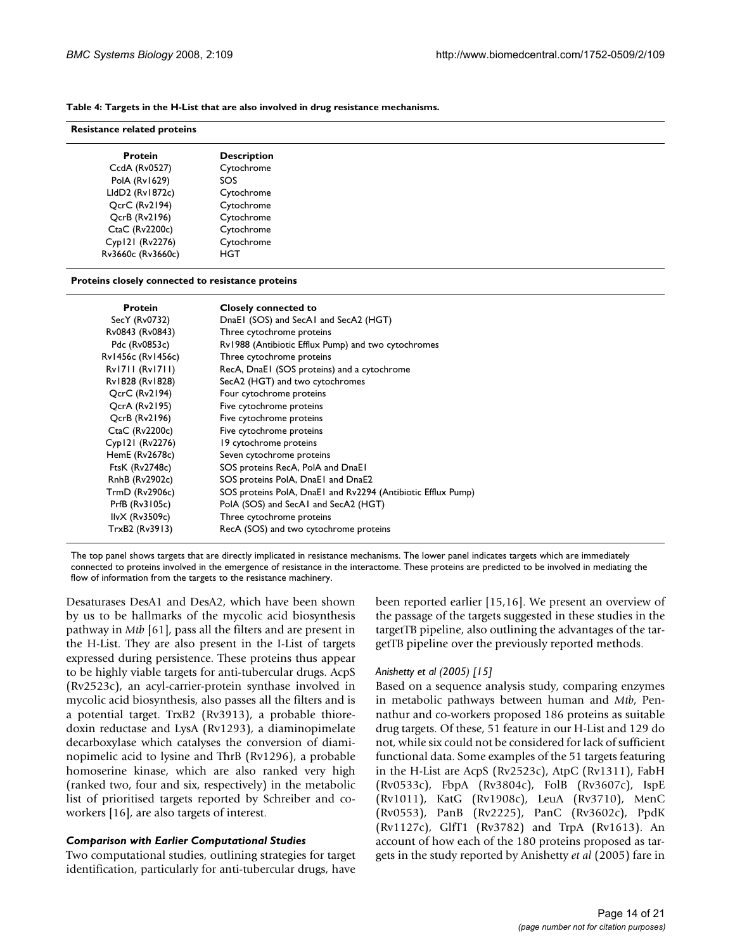| <b>Resistance related proteins</b> |                    |  |  |  |  |
|------------------------------------|--------------------|--|--|--|--|
| <b>Protein</b>                     | <b>Description</b> |  |  |  |  |
| CcdA (Rv0527)                      | Cytochrome         |  |  |  |  |
| <b>PolA (Rv1629)</b>               | SOS                |  |  |  |  |
| LIdD2 (Rv1872c)                    | Cytochrome         |  |  |  |  |
| $QcrC$ ( $Rv2194$ )                | Cytochrome         |  |  |  |  |
| QcrB (Rv2196)                      | Cytochrome         |  |  |  |  |
| CtaC (Rv2200c)                     | Cytochrome         |  |  |  |  |
| Cyp121 (Rv2276)                    | Cytochrome         |  |  |  |  |
| Rv3660c (Rv3660c)                  | <b>HGT</b>         |  |  |  |  |

<span id="page-13-0"></span>**Table 4: Targets in the H-List that are also involved in drug resistance mechanisms.**

**Proteins closely connected to resistance proteins**

| <b>Protein</b>       | <b>Closely connected to</b>                                  |
|----------------------|--------------------------------------------------------------|
|                      |                                                              |
| SecY (Rv0732)        | DnaEl (SOS) and SecA1 and SecA2 (HGT)                        |
| Rv0843 (Rv0843)      | Three cytochrome proteins                                    |
| Pdc (Rv0853c)        | Rv1988 (Antibiotic Efflux Pump) and two cytochromes          |
| Rv1456c (Rv1456c)    | Three cytochrome proteins                                    |
| Rv1711 (Rv1711)      | RecA, DnaEI (SOS proteins) and a cytochrome                  |
| Rv1828 (Rv1828)      | SecA2 (HGT) and two cytochromes                              |
| QcrC (Rv2194)        | Four cytochrome proteins                                     |
| QcrA (Rv2195)        | Five cytochrome proteins                                     |
| QcrB (Rv2196)        | Five cytochrome proteins                                     |
| CtaC (Rv2200c)       | Five cytochrome proteins                                     |
| Cyp121 (Rv2276)      | 19 cytochrome proteins                                       |
| HemE (Rv2678c)       | Seven cytochrome proteins                                    |
| FtsK (Rv2748c)       | SOS proteins RecA, PoIA and DnaEI                            |
| RnhB (Rv2902c)       | SOS proteins PolA, DnaE1 and DnaE2                           |
| TrmD (Rv2906c)       | SOS proteins PolA, DnaE1 and Rv2294 (Antibiotic Efflux Pump) |
| PrfB (Rv3105c)       | PolA (SOS) and SecA1 and SecA2 (HGT)                         |
| $IIvX$ ( $Rv3509c$ ) | Three cytochrome proteins                                    |
| TrxB2 (Rv3913)       | RecA (SOS) and two cytochrome proteins                       |
|                      |                                                              |

The top panel shows targets that are directly implicated in resistance mechanisms. The lower panel indicates targets which are immediately connected to proteins involved in the emergence of resistance in the interactome. These proteins are predicted to be involved in mediating the flow of information from the targets to the resistance machinery.

Desaturases DesA1 and DesA2, which have been shown by us to be hallmarks of the mycolic acid biosynthesis pathway in *Mtb* [\[61](#page-19-23)], pass all the filters and are present in the H-List. They are also present in the I-List of targets expressed during persistence. These proteins thus appear to be highly viable targets for anti-tubercular drugs. AcpS (Rv2523c), an acyl-carrier-protein synthase involved in mycolic acid biosynthesis, also passes all the filters and is a potential target. TrxB2 (Rv3913), a probable thioredoxin reductase and LysA (Rv1293), a diaminopimelate decarboxylase which catalyses the conversion of diaminopimelic acid to lysine and ThrB (Rv1296), a probable homoserine kinase, which are also ranked very high (ranked two, four and six, respectively) in the metabolic list of prioritised targets reported by Schreiber and coworkers [\[16\]](#page-18-6), are also targets of interest.

## *Comparison with Earlier Computational Studies*

Two computational studies, outlining strategies for target identification, particularly for anti-tubercular drugs, have

been reported earlier [[15](#page-18-5)[,16](#page-18-6)]. We present an overview of the passage of the targets suggested in these studies in the targetTB pipeline, also outlining the advantages of the targetTB pipeline over the previously reported methods.

## *Anishetty et al (2005) [\[15](#page-18-5)]*

Based on a sequence analysis study, comparing enzymes in metabolic pathways between human and *Mtb*, Pennathur and co-workers proposed 186 proteins as suitable drug targets. Of these, 51 feature in our H-List and 129 do not, while six could not be considered for lack of sufficient functional data. Some examples of the 51 targets featuring in the H-List are AcpS (Rv2523c), AtpC (Rv1311), FabH (Rv0533c), FbpA (Rv3804c), FolB (Rv3607c), IspE (Rv1011), KatG (Rv1908c), LeuA (Rv3710), MenC (Rv0553), PanB (Rv2225), PanC (Rv3602c), PpdK (Rv1127c), GlfT1 (Rv3782) and TrpA (Rv1613). An account of how each of the 180 proteins proposed as targets in the study reported by Anishetty *et al* (2005) fare in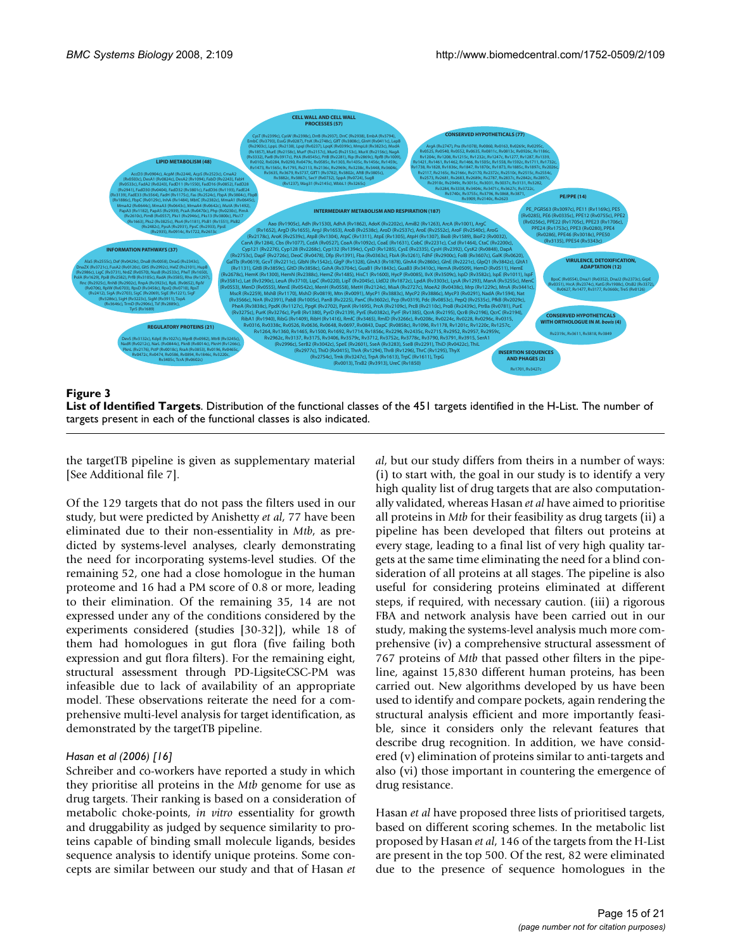<span id="page-14-0"></span>

**Figure 3** 

**List of Identified Targets**. Distribution of the functional classes of the 451 targets identified in the H-List. The number of targets present in each of the functional classes is also indicated.

the targetTB pipeline is given as supplementary material [See Additional file [7\]](#page-17-14).

Of the 129 targets that do not pass the filters used in our study, but were predicted by Anishetty *et al*, 77 have been eliminated due to their non-essentiality in *Mtb*, as predicted by systems-level analyses, clearly demonstrating the need for incorporating systems-level studies. Of the remaining 52, one had a close homologue in the human proteome and 16 had a PM score of 0.8 or more, leading to their elimination. Of the remaining 35, 14 are not expressed under any of the conditions considered by the experiments considered (studies [[30-](#page-18-14)[32](#page-18-16)]), while 18 of them had homologues in gut flora (five failing both expression and gut flora filters). For the remaining eight, structural assessment through PD-LigsiteCSC-PM was infeasible due to lack of availability of an appropriate model. These observations reiterate the need for a comprehensive multi-level analysis for target identification, as demonstrated by the targetTB pipeline.

## *Hasan et al (2006) [[16](#page-18-6)]*

Schreiber and co-workers have reported a study in which they prioritise all proteins in the *Mtb* genome for use as drug targets. Their ranking is based on a consideration of metabolic choke-points, *in vitro* essentiality for growth and druggability as judged by sequence similarity to proteins capable of binding small molecule ligands, besides sequence analysis to identify unique proteins. Some concepts are similar between our study and that of Hasan *et* *al*, but our study differs from theirs in a number of ways: (i) to start with, the goal in our study is to identify a very high quality list of drug targets that are also computationally validated, whereas Hasan *et al* have aimed to prioritise all proteins in *Mtb* for their feasibility as drug targets (ii) a pipeline has been developed that filters out proteins at every stage, leading to a final list of very high quality targets at the same time eliminating the need for a blind consideration of all proteins at all stages. The pipeline is also useful for considering proteins eliminated at different steps, if required, with necessary caution. (iii) a rigorous FBA and network analysis have been carried out in our study, making the systems-level analysis much more comprehensive (iv) a comprehensive structural assessment of 767 proteins of *Mtb* that passed other filters in the pipeline, against 15,830 different human proteins, has been carried out. New algorithms developed by us have been used to identify and compare pockets, again rendering the structural analysis efficient and more importantly feasible, since it considers only the relevant features that describe drug recognition. In addition, we have considered (v) elimination of proteins similar to anti-targets and also (vi) those important in countering the emergence of drug resistance.

Hasan *et al* have proposed three lists of prioritised targets, based on different scoring schemes. In the metabolic list proposed by Hasan *et al*, 146 of the targets from the H-List are present in the top 500. Of the rest, 82 were eliminated due to the presence of sequence homologues in the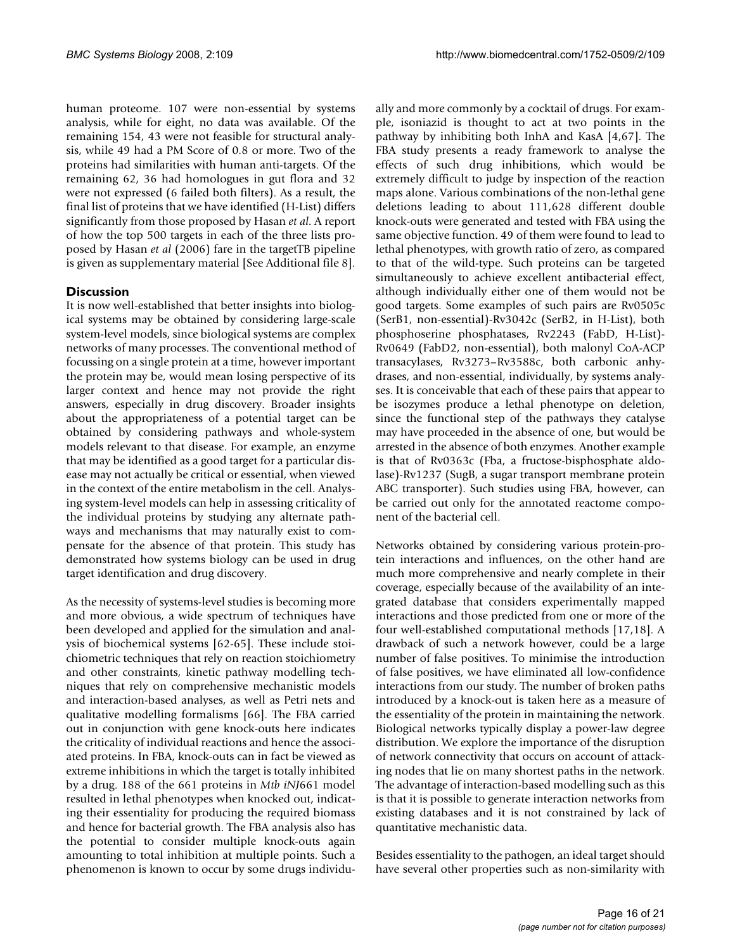human proteome. 107 were non-essential by systems analysis, while for eight, no data was available. Of the remaining 154, 43 were not feasible for structural analysis, while 49 had a PM Score of 0.8 or more. Two of the proteins had similarities with human anti-targets. Of the remaining 62, 36 had homologues in gut flora and 32 were not expressed (6 failed both filters). As a result, the final list of proteins that we have identified (H-List) differs significantly from those proposed by Hasan *et al*. A report of how the top 500 targets in each of the three lists proposed by Hasan *et al* (2006) fare in the targetTB pipeline is given as supplementary material [See Additional file [8](#page-17-15)].

## **Discussion**

It is now well-established that better insights into biological systems may be obtained by considering large-scale system-level models, since biological systems are complex networks of many processes. The conventional method of focussing on a single protein at a time, however important the protein may be, would mean losing perspective of its larger context and hence may not provide the right answers, especially in drug discovery. Broader insights about the appropriateness of a potential target can be obtained by considering pathways and whole-system models relevant to that disease. For example, an enzyme that may be identified as a good target for a particular disease may not actually be critical or essential, when viewed in the context of the entire metabolism in the cell. Analysing system-level models can help in assessing criticality of the individual proteins by studying any alternate pathways and mechanisms that may naturally exist to compensate for the absence of that protein. This study has demonstrated how systems biology can be used in drug target identification and drug discovery.

As the necessity of systems-level studies is becoming more and more obvious, a wide spectrum of techniques have been developed and applied for the simulation and analysis of biochemical systems [[62-](#page-19-24)[65\]](#page-19-25). These include stoichiometric techniques that rely on reaction stoichiometry and other constraints, kinetic pathway modelling techniques that rely on comprehensive mechanistic models and interaction-based analyses, as well as Petri nets and qualitative modelling formalisms [\[66\]](#page-19-26). The FBA carried out in conjunction with gene knock-outs here indicates the criticality of individual reactions and hence the associated proteins. In FBA, knock-outs can in fact be viewed as extreme inhibitions in which the target is totally inhibited by a drug. 188 of the 661 proteins in *Mtb iNJ*661 model resulted in lethal phenotypes when knocked out, indicating their essentiality for producing the required biomass and hence for bacterial growth. The FBA analysis also has the potential to consider multiple knock-outs again amounting to total inhibition at multiple points. Such a phenomenon is known to occur by some drugs individually and more commonly by a cocktail of drugs. For example, isoniazid is thought to act at two points in the pathway by inhibiting both InhA and KasA [[4](#page-17-3),[67\]](#page-19-27). The FBA study presents a ready framework to analyse the effects of such drug inhibitions, which would be extremely difficult to judge by inspection of the reaction maps alone. Various combinations of the non-lethal gene deletions leading to about 111,628 different double knock-outs were generated and tested with FBA using the same objective function. 49 of them were found to lead to lethal phenotypes, with growth ratio of zero, as compared to that of the wild-type. Such proteins can be targeted simultaneously to achieve excellent antibacterial effect, although individually either one of them would not be good targets. Some examples of such pairs are Rv0505c (SerB1, non-essential)-Rv3042c (SerB2, in H-List), both phosphoserine phosphatases, Rv2243 (FabD, H-List)- Rv0649 (FabD2, non-essential), both malonyl CoA-ACP transacylases, Rv3273–Rv3588c, both carbonic anhydrases, and non-essential, individually, by systems analyses. It is conceivable that each of these pairs that appear to be isozymes produce a lethal phenotype on deletion, since the functional step of the pathways they catalyse may have proceeded in the absence of one, but would be arrested in the absence of both enzymes. Another example is that of Rv0363c (Fba, a fructose-bisphosphate aldolase)-Rv1237 (SugB, a sugar transport membrane protein ABC transporter). Such studies using FBA, however, can be carried out only for the annotated reactome component of the bacterial cell.

Networks obtained by considering various protein-protein interactions and influences, on the other hand are much more comprehensive and nearly complete in their coverage, especially because of the availability of an integrated database that considers experimentally mapped interactions and those predicted from one or more of the four well-established computational methods [\[17](#page-18-7),[18\]](#page-18-8). A drawback of such a network however, could be a large number of false positives. To minimise the introduction of false positives, we have eliminated all low-confidence interactions from our study. The number of broken paths introduced by a knock-out is taken here as a measure of the essentiality of the protein in maintaining the network. Biological networks typically display a power-law degree distribution. We explore the importance of the disruption of network connectivity that occurs on account of attacking nodes that lie on many shortest paths in the network. The advantage of interaction-based modelling such as this is that it is possible to generate interaction networks from existing databases and it is not constrained by lack of quantitative mechanistic data.

Besides essentiality to the pathogen, an ideal target should have several other properties such as non-similarity with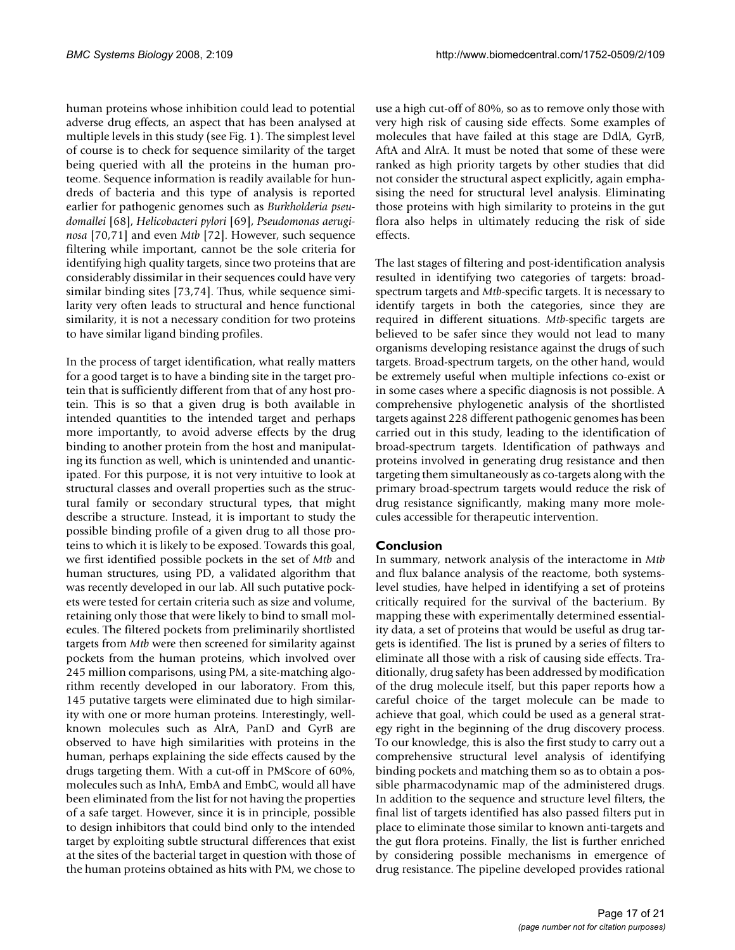human proteins whose inhibition could lead to potential adverse drug effects, an aspect that has been analysed at multiple levels in this study (see Fig. [1](#page-7-0)). The simplest level of course is to check for sequence similarity of the target being queried with all the proteins in the human proteome. Sequence information is readily available for hundreds of bacteria and this type of analysis is reported earlier for pathogenic genomes such as *Burkholderia pseudomallei* [\[68](#page-19-28)], *Helicobacteri pylori* [[69\]](#page-19-29), *Pseudomonas aeruginosa* [\[70](#page-19-30)[,71](#page-19-31)] and even *Mtb* [[72\]](#page-19-32). However, such sequence filtering while important, cannot be the sole criteria for identifying high quality targets, since two proteins that are considerably dissimilar in their sequences could have very similar binding sites [\[73](#page-19-33)[,74](#page-19-34)]. Thus, while sequence similarity very often leads to structural and hence functional similarity, it is not a necessary condition for two proteins to have similar ligand binding profiles.

In the process of target identification, what really matters for a good target is to have a binding site in the target protein that is sufficiently different from that of any host protein. This is so that a given drug is both available in intended quantities to the intended target and perhaps more importantly, to avoid adverse effects by the drug binding to another protein from the host and manipulating its function as well, which is unintended and unanticipated. For this purpose, it is not very intuitive to look at structural classes and overall properties such as the structural family or secondary structural types, that might describe a structure. Instead, it is important to study the possible binding profile of a given drug to all those proteins to which it is likely to be exposed. Towards this goal, we first identified possible pockets in the set of *Mtb* and human structures, using PD, a validated algorithm that was recently developed in our lab. All such putative pockets were tested for certain criteria such as size and volume, retaining only those that were likely to bind to small molecules. The filtered pockets from preliminarily shortlisted targets from *Mtb* were then screened for similarity against pockets from the human proteins, which involved over 245 million comparisons, using PM, a site-matching algorithm recently developed in our laboratory. From this, 145 putative targets were eliminated due to high similarity with one or more human proteins. Interestingly, wellknown molecules such as AlrA, PanD and GyrB are observed to have high similarities with proteins in the human, perhaps explaining the side effects caused by the drugs targeting them. With a cut-off in PMScore of 60%, molecules such as InhA, EmbA and EmbC, would all have been eliminated from the list for not having the properties of a safe target. However, since it is in principle, possible to design inhibitors that could bind only to the intended target by exploiting subtle structural differences that exist at the sites of the bacterial target in question with those of the human proteins obtained as hits with PM, we chose to

use a high cut-off of 80%, so as to remove only those with very high risk of causing side effects. Some examples of molecules that have failed at this stage are DdlA, GyrB, AftA and AlrA. It must be noted that some of these were ranked as high priority targets by other studies that did not consider the structural aspect explicitly, again emphasising the need for structural level analysis. Eliminating those proteins with high similarity to proteins in the gut flora also helps in ultimately reducing the risk of side effects.

The last stages of filtering and post-identification analysis resulted in identifying two categories of targets: broadspectrum targets and *Mtb*-specific targets. It is necessary to identify targets in both the categories, since they are required in different situations. *Mtb*-specific targets are believed to be safer since they would not lead to many organisms developing resistance against the drugs of such targets. Broad-spectrum targets, on the other hand, would be extremely useful when multiple infections co-exist or in some cases where a specific diagnosis is not possible. A comprehensive phylogenetic analysis of the shortlisted targets against 228 different pathogenic genomes has been carried out in this study, leading to the identification of broad-spectrum targets. Identification of pathways and proteins involved in generating drug resistance and then targeting them simultaneously as co-targets along with the primary broad-spectrum targets would reduce the risk of drug resistance significantly, making many more molecules accessible for therapeutic intervention.

## **Conclusion**

In summary, network analysis of the interactome in *Mtb* and flux balance analysis of the reactome, both systemslevel studies, have helped in identifying a set of proteins critically required for the survival of the bacterium. By mapping these with experimentally determined essentiality data, a set of proteins that would be useful as drug targets is identified. The list is pruned by a series of filters to eliminate all those with a risk of causing side effects. Traditionally, drug safety has been addressed by modification of the drug molecule itself, but this paper reports how a careful choice of the target molecule can be made to achieve that goal, which could be used as a general strategy right in the beginning of the drug discovery process. To our knowledge, this is also the first study to carry out a comprehensive structural level analysis of identifying binding pockets and matching them so as to obtain a possible pharmacodynamic map of the administered drugs. In addition to the sequence and structure level filters, the final list of targets identified has also passed filters put in place to eliminate those similar to known anti-targets and the gut flora proteins. Finally, the list is further enriched by considering possible mechanisms in emergence of drug resistance. The pipeline developed provides rational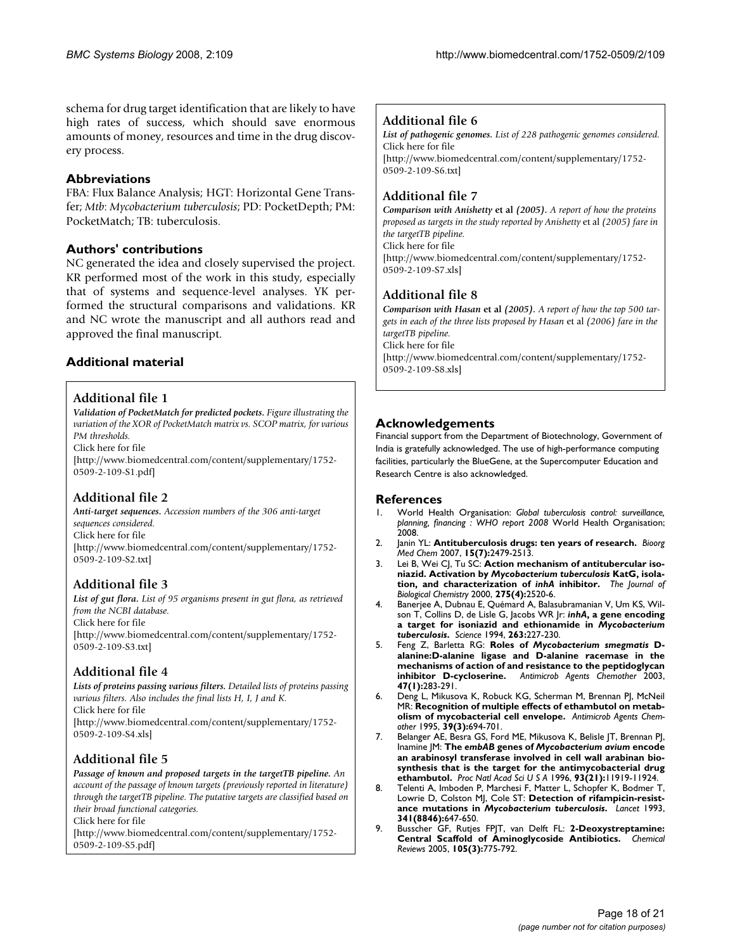schema for drug target identification that are likely to have high rates of success, which should save enormous amounts of money, resources and time in the drug discovery process.

## **Abbreviations**

FBA: Flux Balance Analysis; HGT: Horizontal Gene Transfer; *Mtb*: *Mycobacterium tuberculosis*; PD: PocketDepth; PM: PocketMatch; TB: tuberculosis.

# **Authors' contributions**

NC generated the idea and closely supervised the project. KR performed most of the work in this study, especially that of systems and sequence-level analyses. YK performed the structural comparisons and validations. KR and NC wrote the manuscript and all authors read and approved the final manuscript.

# **Additional material**

# <span id="page-17-8"></span>**Additional file 1**

*Validation of PocketMatch for predicted pockets. Figure illustrating the variation of the XOR of PocketMatch matrix vs. SCOP matrix, for various PM thresholds.* Click here for file

[\[http://www.biomedcentral.com/content/supplementary/1752-](http://www.biomedcentral.com/content/supplementary/1752-0509-2-109-S1.pdf) 0509-2-109-S1.pdf]

# <span id="page-17-9"></span>**Additional file 2**

*Anti-target sequences. Accession numbers of the 306 anti-target sequences considered.* Click here for file [\[http://www.biomedcentral.com/content/supplementary/1752-](http://www.biomedcentral.com/content/supplementary/1752-0509-2-109-S2.txt) 0509-2-109-S2.txt]

# <span id="page-17-10"></span>**Additional file 3**

*List of gut flora. List of 95 organisms present in gut flora, as retrieved from the NCBI database.* Click here for file [\[http://www.biomedcentral.com/content/supplementary/1752-](http://www.biomedcentral.com/content/supplementary/1752-0509-2-109-S3.txt) 0509-2-109-S3.txt]

# <span id="page-17-11"></span>**Additional file 4**

*Lists of proteins passing various filters. Detailed lists of proteins passing various filters. Also includes the final lists H, I, J and K.* Click here for file [\[http://www.biomedcentral.com/content/supplementary/1752-](http://www.biomedcentral.com/content/supplementary/1752-0509-2-109-S4.xls) 0509-2-109-S4.xls]

# <span id="page-17-12"></span>**Additional file 5**

*Passage of known and proposed targets in the targetTB pipeline. An account of the passage of known targets (previously reported in literature) through the targetTB pipeline. The putative targets are classified based on their broad functional categories.* Click here for file

[\[http://www.biomedcentral.com/content/supplementary/1752-](http://www.biomedcentral.com/content/supplementary/1752-0509-2-109-S5.pdf) 0509-2-109-S5.pdf]

# <span id="page-17-13"></span>**Additional file 6**

*List of pathogenic genomes. List of 228 pathogenic genomes considered.* Click here for file

[\[http://www.biomedcentral.com/content/supplementary/1752-](http://www.biomedcentral.com/content/supplementary/1752-0509-2-109-S6.txt) 0509-2-109-S6.txt]

# <span id="page-17-14"></span>**Additional file 7**

*Comparison with Anishetty* **et al** *(2005). A report of how the proteins proposed as targets in the study reported by Anishetty* et al *(2005) fare in the targetTB pipeline.* Click here for file

[\[http://www.biomedcentral.com/content/supplementary/1752-](http://www.biomedcentral.com/content/supplementary/1752-0509-2-109-S7.xls) 0509-2-109-S7.xls]

# <span id="page-17-15"></span>**Additional file 8**

*Comparison with Hasan* **et al** *(2005). A report of how the top 500 targets in each of the three lists proposed by Hasan* et al *(2006) fare in the targetTB pipeline.* Click here for file [\[http://www.biomedcentral.com/content/supplementary/1752-](http://www.biomedcentral.com/content/supplementary/1752-0509-2-109-S8.xls) 0509-2-109-S8.xls]

# **Acknowledgements**

Financial support from the Department of Biotechnology, Government of India is gratefully acknowledged. The use of high-performance computing facilities, particularly the BlueGene, at the Supercomputer Education and Research Centre is also acknowledged.

## **References**

- <span id="page-17-0"></span>1. World Health Organisation: *Global tuberculosis control: surveillance, planning, financing : WHO report 2008* World Health Organisation; 2008.
- <span id="page-17-1"></span>2. Janin YL: **[Antituberculosis drugs: ten years of research.](http://www.ncbi.nlm.nih.gov/entrez/query.fcgi?cmd=Retrieve&db=PubMed&dopt=Abstract&list_uids=17291770)** *Bioorg Med Chem* 2007, **15(7):**2479-2513.
- <span id="page-17-2"></span>3. Lei B, Wei CJ, Tu SC: **Action mechanism of antitubercular isoniazid. Activation by** *Mycobacterium tuberculosis* **KatG, isolation, and characterization of** *inhA* **[inhibitor.](http://www.ncbi.nlm.nih.gov/entrez/query.fcgi?cmd=Retrieve&db=PubMed&dopt=Abstract&list_uids=10644708)** *The Journal of Biological Chemistry* 2000, **275(4):**2520-6.
- <span id="page-17-3"></span>Banerjee A, Dubnau E, Quémard A, Balasubramanian V, Um KS, Wilson T, Collins D, de Lisle G, Jacobs WR Jr: *inhA***, a gene encoding a target for isoniazid and ethionamide in** *Mycobacterium tuberculosis***[.](http://www.ncbi.nlm.nih.gov/entrez/query.fcgi?cmd=Retrieve&db=PubMed&dopt=Abstract&list_uids=8284673)** *Science* 1994, **263:**227-230.
- <span id="page-17-4"></span>5. Feng Z, Barletta RG: **Roles of** *Mycobacterium smegmatis* **[D](http://www.ncbi.nlm.nih.gov/entrez/query.fcgi?cmd=Retrieve&db=PubMed&dopt=Abstract&list_uids=12499203)[alanine:D-alanine ligase and D-alanine racemase in the](http://www.ncbi.nlm.nih.gov/entrez/query.fcgi?cmd=Retrieve&db=PubMed&dopt=Abstract&list_uids=12499203) mechanisms of action of and resistance to the peptidoglycan [inhibitor D-cycloserine.](http://www.ncbi.nlm.nih.gov/entrez/query.fcgi?cmd=Retrieve&db=PubMed&dopt=Abstract&list_uids=12499203)** *Antimicrob Agents Chemother* 2003, **47(1):**283-291.
- <span id="page-17-5"></span>6. Deng L, Mikusova K, Robuck KG, Scherman M, Brennan PJ, McNeil MR: **[Recognition of multiple effects of ethambutol on metab](http://www.ncbi.nlm.nih.gov/entrez/query.fcgi?cmd=Retrieve&db=PubMed&dopt=Abstract&list_uids=7793875)[olism of mycobacterial cell envelope.](http://www.ncbi.nlm.nih.gov/entrez/query.fcgi?cmd=Retrieve&db=PubMed&dopt=Abstract&list_uids=7793875)** *Antimicrob Agents Chemother* 1995, **39(3):**694-701.
- <span id="page-17-6"></span>7. Belanger AE, Besra GS, Ford ME, Mikusova K, Belisle JT, Brennan PJ, Inamine JM: **The** *embAB* **genes of** *Mycobacterium avium* **[encode](http://www.ncbi.nlm.nih.gov/entrez/query.fcgi?cmd=Retrieve&db=PubMed&dopt=Abstract&list_uids=8876238) [an arabinosyl transferase involved in cell wall arabinan bio](http://www.ncbi.nlm.nih.gov/entrez/query.fcgi?cmd=Retrieve&db=PubMed&dopt=Abstract&list_uids=8876238)synthesis that is the target for the antimycobacterial drug [ethambutol.](http://www.ncbi.nlm.nih.gov/entrez/query.fcgi?cmd=Retrieve&db=PubMed&dopt=Abstract&list_uids=8876238)** *Proc Natl Acad Sci U S A* 1996, **93(21):**11919-11924.
- <span id="page-17-7"></span>8. Telenti A, Imboden P, Marchesi F, Matter L, Schopfer K, Bodmer T, Lowrie D, Colston MJ, Cole ST: **Detection of rifampicin-resistance mutations in** *Mycobacterium tuberculosis***[.](http://www.ncbi.nlm.nih.gov/entrez/query.fcgi?cmd=Retrieve&db=PubMed&dopt=Abstract&list_uids=8095569)** *Lancet* 1993, **341(8846):**647-650.
- 9. Busscher GF, Rutjes FPJT, van Delft FL: **[2-Deoxystreptamine:](http://www.ncbi.nlm.nih.gov/entrez/query.fcgi?cmd=Retrieve&db=PubMed&dopt=Abstract&list_uids=15755076) [Central Scaffold of Aminoglycoside Antibiotics.](http://www.ncbi.nlm.nih.gov/entrez/query.fcgi?cmd=Retrieve&db=PubMed&dopt=Abstract&list_uids=15755076)** *Chemical Reviews* 2005, **105(3):**775-792.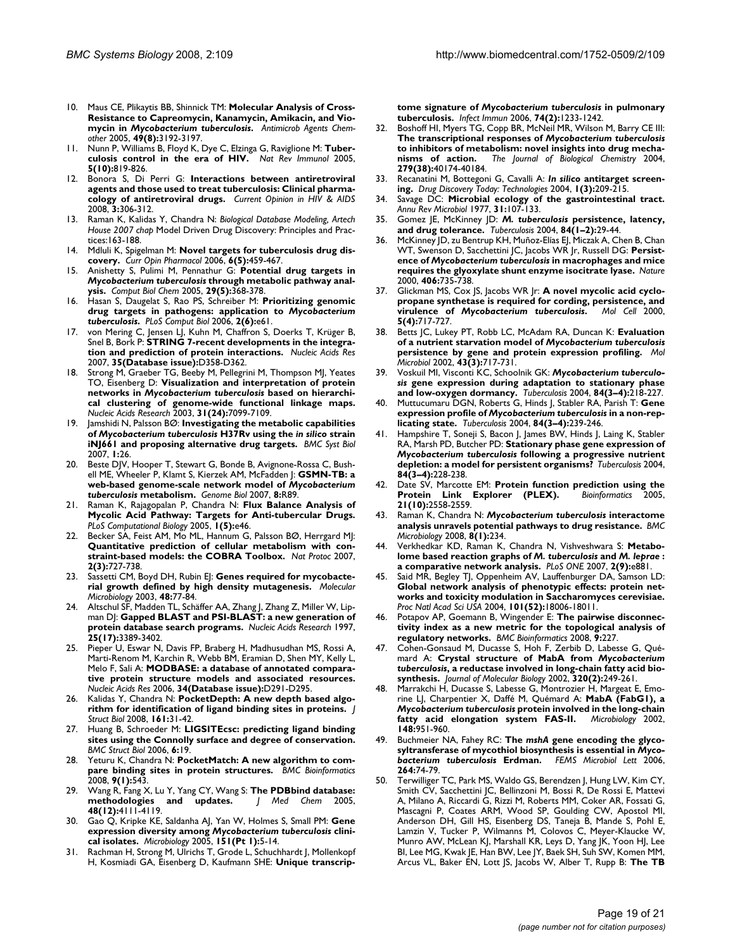- <span id="page-18-0"></span>10. Maus CE, Plikaytis BB, Shinnick TM: **Molecular Analysis of Cross-Resistance to Capreomycin, Kanamycin, Amikacin, and Viomycin in** *Mycobacterium tuberculosis***[.](http://www.ncbi.nlm.nih.gov/entrez/query.fcgi?cmd=Retrieve&db=PubMed&dopt=Abstract&list_uids=16048924)** *Antimicrob Agents Chemother* 2005, **49(8):**3192-3197.
- <span id="page-18-1"></span>11. Nunn P, Williams B, Floyd K, Dye C, Elzinga G, Raviglione M: **[Tuber](http://www.ncbi.nlm.nih.gov/entrez/query.fcgi?cmd=Retrieve&db=PubMed&dopt=Abstract&list_uids=16200083)[culosis control in the era of HIV.](http://www.ncbi.nlm.nih.gov/entrez/query.fcgi?cmd=Retrieve&db=PubMed&dopt=Abstract&list_uids=16200083)** *Nat Rev Immunol* 2005, **5(10):**819-826.
- <span id="page-18-2"></span>12. Bonora S, Di Perri G: **Interactions between antiretroviral agents and those used to treat tuberculosis: Clinical pharmacology of antiretroviral drugs.** *Current Opinion in HIV & AIDS* 2008, **3:**306-312.
- <span id="page-18-3"></span>13. Raman K, Kalidas Y, Chandra N: *Biological Database Modeling, Artech House 2007 chap* Model Driven Drug Discovery: Principles and Practices:163-188.
- <span id="page-18-4"></span>14. Mdluli K, Spigelman M: **[Novel targets for tuberculosis drug dis](http://www.ncbi.nlm.nih.gov/entrez/query.fcgi?cmd=Retrieve&db=PubMed&dopt=Abstract&list_uids=16904376)[covery.](http://www.ncbi.nlm.nih.gov/entrez/query.fcgi?cmd=Retrieve&db=PubMed&dopt=Abstract&list_uids=16904376)** *Curr Opin Pharmacol* 2006, **6(5):**459-467.
- <span id="page-18-5"></span>15. Anishetty S, Pulimi M, Pennathur G: **Potential drug targets in** *Mycobacterium tuberculosis* **[through metabolic pathway anal](http://www.ncbi.nlm.nih.gov/entrez/query.fcgi?cmd=Retrieve&db=PubMed&dopt=Abstract&list_uids=16213791)[ysis.](http://www.ncbi.nlm.nih.gov/entrez/query.fcgi?cmd=Retrieve&db=PubMed&dopt=Abstract&list_uids=16213791)** *Comput Biol Chem* 2005, **29(5):**368-378.
- <span id="page-18-6"></span>16. Hasan S, Daugelat S, Rao PS, Schreiber M: **Prioritizing genomic drug targets in pathogens: application to** *Mycobacterium tuberculosis***[.](http://www.ncbi.nlm.nih.gov/entrez/query.fcgi?cmd=Retrieve&db=PubMed&dopt=Abstract&list_uids=16789813)** *PLoS Comput Biol* 2006, **2(6):**e61.
- <span id="page-18-7"></span>17. von Mering C, Jensen LJ, Kuhn M, Chaffron S, Doerks T, Krüger B, Snel B, Bork P: **[STRING 7-recent developments in the integra](http://www.ncbi.nlm.nih.gov/entrez/query.fcgi?cmd=Retrieve&db=PubMed&dopt=Abstract&list_uids=17098935)[tion and prediction of protein interactions.](http://www.ncbi.nlm.nih.gov/entrez/query.fcgi?cmd=Retrieve&db=PubMed&dopt=Abstract&list_uids=17098935)** *Nucleic Acids Res* 2007, **35(Database issue):**D358-D362.
- <span id="page-18-8"></span>18. Strong M, Graeber TG, Beeby M, Pellegrini M, Thompson MJ, Yeates TO, Eisenberg D: **Visualization and interpretation of protein networks in** *Mycobacterium tuberculosis* **[based on hierarchi](http://www.ncbi.nlm.nih.gov/entrez/query.fcgi?cmd=Retrieve&db=PubMed&dopt=Abstract&list_uids=14654685)[cal clustering of genome-wide functional linkage maps.](http://www.ncbi.nlm.nih.gov/entrez/query.fcgi?cmd=Retrieve&db=PubMed&dopt=Abstract&list_uids=14654685)** *Nucleic Acids Research* 2003, **31(24):**7099-7109.
- <span id="page-18-9"></span>19. Jamshidi N, Palsson BØ: **Investigating the metabolic capabilities of** *Mycobacterium tuberculosis* **H37Rv using the** *in silico* **[strain](http://www.ncbi.nlm.nih.gov/entrez/query.fcgi?cmd=Retrieve&db=PubMed&dopt=Abstract&list_uids=17555602) [iNJ661 and proposing alternative drug targets.](http://www.ncbi.nlm.nih.gov/entrez/query.fcgi?cmd=Retrieve&db=PubMed&dopt=Abstract&list_uids=17555602)** *BMC Syst Biol* 2007, **1:**26.
- <span id="page-18-10"></span>20. Beste DJV, Hooper T, Stewart G, Bonde B, Avignone-Rossa C, Bushell ME, Wheeler P, Klamt S, Kierzek AM, McFadden J: **GSMN-TB: a web-based genome-scale network model of** *Mycobacterium tuberculosis* **[metabolism.](http://www.ncbi.nlm.nih.gov/entrez/query.fcgi?cmd=Retrieve&db=PubMed&dopt=Abstract&list_uids=17521419)** *Genome Biol* 2007, **8:**R89.
- <span id="page-18-11"></span>21. Raman K, Rajagopalan P, Chandra N: **[Flux Balance Analysis of](http://www.ncbi.nlm.nih.gov/entrez/query.fcgi?cmd=Retrieve&db=PubMed&dopt=Abstract&list_uids=16261191) [Mycolic Acid Pathway: Targets for Anti-tubercular Drugs.](http://www.ncbi.nlm.nih.gov/entrez/query.fcgi?cmd=Retrieve&db=PubMed&dopt=Abstract&list_uids=16261191)** *PLoS Computational Biology* 2005, **1(5):**e46.
- <span id="page-18-21"></span>22. Becker SA, Feist AM, Mo ML, Hannum G, Palsson BØ, Herrgard MJ: **[Quantitative prediction of cellular metabolism with con](http://www.ncbi.nlm.nih.gov/entrez/query.fcgi?cmd=Retrieve&db=PubMed&dopt=Abstract&list_uids=17406635)[straint-based models: the COBRA Toolbox.](http://www.ncbi.nlm.nih.gov/entrez/query.fcgi?cmd=Retrieve&db=PubMed&dopt=Abstract&list_uids=17406635)** *Nat Protoc* 2007, **2(3):**727-738.
- <span id="page-18-12"></span>23. Sassetti CM, Boyd DH, Rubin EJ: [Genes required for mycobacte](http://www.ncbi.nlm.nih.gov/entrez/query.fcgi?cmd=Retrieve&db=PubMed&dopt=Abstract&list_uids=12657046)**[rial growth defined by high density mutagenesis.](http://www.ncbi.nlm.nih.gov/entrez/query.fcgi?cmd=Retrieve&db=PubMed&dopt=Abstract&list_uids=12657046)** *Molecular Microbiology* 2003, **48:**77-84.
- <span id="page-18-22"></span>24. Altschul SF, Madden TL, Schäffer AA, Zhang J, Zhang Z, Miller W, Lipman DJ: **[Gapped BLAST and PSI-BLAST: a new generation of](http://www.ncbi.nlm.nih.gov/entrez/query.fcgi?cmd=Retrieve&db=PubMed&dopt=Abstract&list_uids=9254694) [protein database search programs.](http://www.ncbi.nlm.nih.gov/entrez/query.fcgi?cmd=Retrieve&db=PubMed&dopt=Abstract&list_uids=9254694)** *Nucleic Acids Research* 1997, **25(17):**3389-3402.
- <span id="page-18-13"></span>25. Pieper U, Eswar N, Davis FP, Braberg H, Madhusudhan MS, Rossi A, Marti-Renom M, Karchin R, Webb BM, Eramian D, Shen MY, Kelly L, Melo F, Sali A: **[MODBASE: a database of annotated compara](http://www.ncbi.nlm.nih.gov/entrez/query.fcgi?cmd=Retrieve&db=PubMed&dopt=Abstract&list_uids=16381869)[tive protein structure models and associated resources.](http://www.ncbi.nlm.nih.gov/entrez/query.fcgi?cmd=Retrieve&db=PubMed&dopt=Abstract&list_uids=16381869)** *Nucleic Acids Res* 2006, **34(Database issue):**D291-D295.
- <span id="page-18-23"></span>26. Kalidas Y, Chandra N: **[PocketDepth: A new depth based algo](http://www.ncbi.nlm.nih.gov/entrez/query.fcgi?cmd=Retrieve&db=PubMed&dopt=Abstract&list_uids=17949996)[rithm for identification of ligand binding sites in proteins.](http://www.ncbi.nlm.nih.gov/entrez/query.fcgi?cmd=Retrieve&db=PubMed&dopt=Abstract&list_uids=17949996)** *J Struct Biol* 2008, **161:**31-42.
- <span id="page-18-24"></span>27. Huang B, Schroeder M: **[LIGSITEcsc: predicting ligand binding](http://www.ncbi.nlm.nih.gov/entrez/query.fcgi?cmd=Retrieve&db=PubMed&dopt=Abstract&list_uids=16995956) [sites using the Connolly surface and degree of conservation.](http://www.ncbi.nlm.nih.gov/entrez/query.fcgi?cmd=Retrieve&db=PubMed&dopt=Abstract&list_uids=16995956)** *BMC Struct Biol* 2006, **6:**19.
- <span id="page-18-25"></span>28. Yeturu K, Chandra N: **[PocketMatch: A new algorithm to com](http://www.ncbi.nlm.nih.gov/entrez/query.fcgi?cmd=Retrieve&db=PubMed&dopt=Abstract&list_uids=19091072)[pare binding sites in protein structures.](http://www.ncbi.nlm.nih.gov/entrez/query.fcgi?cmd=Retrieve&db=PubMed&dopt=Abstract&list_uids=19091072)** *BMC Bioinformatics* 2008, **9(1):**543.
- <span id="page-18-26"></span>29. Wang R, Fang X, Lu Y, Yang CY, Wang S: **[The PDBbind database:](http://www.ncbi.nlm.nih.gov/entrez/query.fcgi?cmd=Retrieve&db=PubMed&dopt=Abstract&list_uids=15943484)**  $methodologies and updates.$ **48(12):**4111-4119.
- <span id="page-18-14"></span>30. Gao Q, Kripke KE, Saldanha AJ, Yan W, Holmes S, Small PM: **Gene expression diversity among** *Mycobacterium tuberculosis* **[clini](http://www.ncbi.nlm.nih.gov/entrez/query.fcgi?cmd=Retrieve&db=PubMed&dopt=Abstract&list_uids=15632420)[cal isolates.](http://www.ncbi.nlm.nih.gov/entrez/query.fcgi?cmd=Retrieve&db=PubMed&dopt=Abstract&list_uids=15632420)** *Microbiology* 2005, **151(Pt 1):**5-14.
- <span id="page-18-15"></span>31. Rachman H, Strong M, Ulrichs T, Grode L, Schuchhardt J, Mollenkopf H, Kosmiadi GA, Eisenberg D, Kaufmann SHE: **Unique transcrip-**

**tome signature of** *Mycobacterium tuberculosis* **[in pulmonary](http://www.ncbi.nlm.nih.gov/entrez/query.fcgi?cmd=Retrieve&db=PubMed&dopt=Abstract&list_uids=16428773) [tuberculosis.](http://www.ncbi.nlm.nih.gov/entrez/query.fcgi?cmd=Retrieve&db=PubMed&dopt=Abstract&list_uids=16428773)** *Infect Immun* 2006, **74(2):**1233-1242.

- <span id="page-18-16"></span>32. Boshoff HI, Myers TG, Copp BR, McNeil MR, Wilson M, Barry CE III: **The transcriptional responses of** *Mycobacterium tuberculosis* **[to inhibitors of metabolism: novel insights into drug mecha](http://www.ncbi.nlm.nih.gov/entrez/query.fcgi?cmd=Retrieve&db=PubMed&dopt=Abstract&list_uids=15247240)[nisms of action.](http://www.ncbi.nlm.nih.gov/entrez/query.fcgi?cmd=Retrieve&db=PubMed&dopt=Abstract&list_uids=15247240)** *The Journal of Biological Chemistry* 2004, **279(38):**40174-40184.
- <span id="page-18-27"></span>33. Recanatini M, Bottegoni G, Cavalli A: *In silico* **antitarget screening.** *Drug Discovery Today: Technologies* 2004, **1(3):**209-215.
- <span id="page-18-28"></span>34. Savage DC: **[Microbial ecology of the gastrointestinal tract.](http://www.ncbi.nlm.nih.gov/entrez/query.fcgi?cmd=Retrieve&db=PubMed&dopt=Abstract&list_uids=334036)** *Annu Rev Microbiol* 1977, **31:**107-133.
- <span id="page-18-29"></span>35. Gomez JE, McKinney JD: *M. tuberculosis* **[persistence, latency,](http://www.ncbi.nlm.nih.gov/entrez/query.fcgi?cmd=Retrieve&db=PubMed&dopt=Abstract&list_uids=14670344) [and drug tolerance.](http://www.ncbi.nlm.nih.gov/entrez/query.fcgi?cmd=Retrieve&db=PubMed&dopt=Abstract&list_uids=14670344)** *Tuberculosis* 2004, **84(1–2):**29-44.
- <span id="page-18-30"></span>36. McKinney JD, zu Bentrup KH, Muñoz-Elías EJ, Miczak A, Chen B, Chan WT, Swenson D, Sacchettini JC, Jacobs WR Jr, Russell DG: **Persistence of** *Mycobacterium tuberculosis* **[in macrophages and mice](http://www.ncbi.nlm.nih.gov/entrez/query.fcgi?cmd=Retrieve&db=PubMed&dopt=Abstract&list_uids=10963599) [requires the glyoxylate shunt enzyme isocitrate lyase.](http://www.ncbi.nlm.nih.gov/entrez/query.fcgi?cmd=Retrieve&db=PubMed&dopt=Abstract&list_uids=10963599)** *Nature* 2000, **406:**735-738.
- <span id="page-18-31"></span>37. Glickman MS, Cox JS, Jacobs WR Jr: **A novel mycolic acid cyclopropane synthetase is required for cording, persistence, and**  $virulence$  of *Mycobacterium tuberculosis*[.](http://www.ncbi.nlm.nih.gov/entrez/query.fcgi?cmd=Retrieve&db=PubMed&dopt=Abstract&list_uids=10882107) **5(4):**717-727.
- <span id="page-18-19"></span>38. Betts JC, Lukey PT, Robb LC, McAdam RA, Duncan K: **Evaluation of a nutrient starvation model of** *Mycobacterium tuberculosis* **[persistence by gene and protein expression profiling.](http://www.ncbi.nlm.nih.gov/entrez/query.fcgi?cmd=Retrieve&db=PubMed&dopt=Abstract&list_uids=11929527)** *Mol Microbiol* 2002, **43(3):**717-731.
- <span id="page-18-18"></span>39. Voskuil MI, Visconti KC, Schoolnik GK: *Mycobacterium tuberculosis* **[gene expression during adaptation to stationary phase](http://www.ncbi.nlm.nih.gov/entrez/query.fcgi?cmd=Retrieve&db=PubMed&dopt=Abstract&list_uids=15207491) [and low-oxygen dormancy.](http://www.ncbi.nlm.nih.gov/entrez/query.fcgi?cmd=Retrieve&db=PubMed&dopt=Abstract&list_uids=15207491)** *Tuberculosis* 2004, **84(3–4):**218-227.
- <span id="page-18-17"></span>40. Muttucumaru DGN, Roberts G, Hinds J, Stabler RA, Parish T: **Gene expression profile of** *Mycobacterium tuberculosis* **[in a non-rep](http://www.ncbi.nlm.nih.gov/entrez/query.fcgi?cmd=Retrieve&db=PubMed&dopt=Abstract&list_uids=15207493)[licating state.](http://www.ncbi.nlm.nih.gov/entrez/query.fcgi?cmd=Retrieve&db=PubMed&dopt=Abstract&list_uids=15207493)** *Tuberculosis* 2004, **84(3–4):**239-246.
- <span id="page-18-20"></span>41. Hampshire T, Soneji S, Bacon J, James BW, Hinds J, Laing K, Stabler RA, Marsh PD, Butcher PD: **Stationary phase gene expression of** *Mycobacterium tuberculosis* **[following a progressive nutrient](http://www.ncbi.nlm.nih.gov/entrez/query.fcgi?cmd=Retrieve&db=PubMed&dopt=Abstract&list_uids=15207492) [depletion: a model for persistent organisms?](http://www.ncbi.nlm.nih.gov/entrez/query.fcgi?cmd=Retrieve&db=PubMed&dopt=Abstract&list_uids=15207492)** *Tuberculosis* 2004, **84(3–4):**228-238.
- <span id="page-18-32"></span>42. Date SV, Marcotte EM: **[Protein function prediction using the](http://www.ncbi.nlm.nih.gov/entrez/query.fcgi?cmd=Retrieve&db=PubMed&dopt=Abstract&list_uids=15701682) [Protein Link Explorer \(PLEX\).](http://www.ncbi.nlm.nih.gov/entrez/query.fcgi?cmd=Retrieve&db=PubMed&dopt=Abstract&list_uids=15701682)** *Bioinformatics* 2005, **21(10):**2558-2559.
- <span id="page-18-33"></span>43. Raman K, Chandra N: *Mycobacterium tuberculosis* **[interactome](http://www.ncbi.nlm.nih.gov/entrez/query.fcgi?cmd=Retrieve&db=PubMed&dopt=Abstract&list_uids=19105810) [analysis unravels potential pathways to drug resistance.](http://www.ncbi.nlm.nih.gov/entrez/query.fcgi?cmd=Retrieve&db=PubMed&dopt=Abstract&list_uids=19105810)** *BMC Microbiology* 2008, **8(1):**234.
- <span id="page-18-34"></span>44. Verkhedkar KD, Raman K, Chandra N, Vishveshwara S: **Metabolome based reaction graphs of** *M. tuberculosis* **and** *M. leprae* **[:](http://www.ncbi.nlm.nih.gov/entrez/query.fcgi?cmd=Retrieve&db=PubMed&dopt=Abstract&list_uids=17849010) [a comparative network analysis.](http://www.ncbi.nlm.nih.gov/entrez/query.fcgi?cmd=Retrieve&db=PubMed&dopt=Abstract&list_uids=17849010)** *PLoS ONE* 2007, **2(9):**e881.
- <span id="page-18-35"></span>45. Said MR, Begley TJ, Oppenheim AV, Lauffenburger DA, Samson LD: **[Global network analysis of phenotypic effects: protein net](http://www.ncbi.nlm.nih.gov/entrez/query.fcgi?cmd=Retrieve&db=PubMed&dopt=Abstract&list_uids=15608068)works and toxicity modulation in Saccharomyces cerevisiae.** *Proc Natl Acad Sci USA* 2004, **101(52):**18006-18011.
- <span id="page-18-36"></span>46. Potapov AP, Goemann B, Wingender E: **[The pairwise disconnec](http://www.ncbi.nlm.nih.gov/entrez/query.fcgi?cmd=Retrieve&db=PubMed&dopt=Abstract&list_uids=18454847)[tivity index as a new metric for the topological analysis of](http://www.ncbi.nlm.nih.gov/entrez/query.fcgi?cmd=Retrieve&db=PubMed&dopt=Abstract&list_uids=18454847) [regulatory networks.](http://www.ncbi.nlm.nih.gov/entrez/query.fcgi?cmd=Retrieve&db=PubMed&dopt=Abstract&list_uids=18454847)** *BMC Bioinformatics* 2008, **9:**227.
- <span id="page-18-37"></span>47. Cohen-Gonsaud M, Ducasse S, Hoh F, Zerbib D, Labesse G, Quémard A: **Crystal structure of MabA from** *Mycobacterium tuberculosis***[, a reductase involved in long-chain fatty acid bio](http://www.ncbi.nlm.nih.gov/entrez/query.fcgi?cmd=Retrieve&db=PubMed&dopt=Abstract&list_uids=12079383)[synthesis.](http://www.ncbi.nlm.nih.gov/entrez/query.fcgi?cmd=Retrieve&db=PubMed&dopt=Abstract&list_uids=12079383)** *Journal of Molecular Biology* 2002, **320(2):**249-261.
- <span id="page-18-38"></span>Marrakchi H, Ducasse S, Labesse G, Montrozier H, Margeat E, Emorine LJ, Charpentier X, Daffé M, Quémard A: **MabA (FabG1), a** *Mycobacterium tuberculosis* **[protein involved in the long-chain](http://www.ncbi.nlm.nih.gov/entrez/query.fcgi?cmd=Retrieve&db=PubMed&dopt=Abstract&list_uids=11932442) [fatty acid elongation system FAS-II.](http://www.ncbi.nlm.nih.gov/entrez/query.fcgi?cmd=Retrieve&db=PubMed&dopt=Abstract&list_uids=11932442)** *Microbiology* 2002, **148:**951-960.
- <span id="page-18-39"></span>49. Buchmeier NA, Fahey RC: **The** *mshA* **gene encoding the glycosyltransferase of mycothiol biosynthesis is essential in** *Mycobacterium tuberculosis* **[Erdman.](http://www.ncbi.nlm.nih.gov/entrez/query.fcgi?cmd=Retrieve&db=PubMed&dopt=Abstract&list_uids=17020551)** *FEMS Microbiol Lett* 2006, **264:**74-79.
- <span id="page-18-40"></span>50. Terwilliger TC, Park MS, Waldo GS, Berendzen J, Hung LW, Kim CY, Smith CV, Sacchettini JC, Bellinzoni M, Bossi R, De Rossi E, Mattevi A, Milano A, Riccardi G, Rizzi M, Roberts MM, Coker AR, Fossati G, Mascagni P, Coates ARM, Wood SP, Goulding CW, Apostol MI, Anderson DH, Gill HS, Eisenberg DS, Taneja B, Mande S, Pohl E, Lamzin V, Tucker P, Wilmanns M, Colovos C, Meyer-Klaucke W, Munro AW, McLean KJ, Marshall KR, Leys D, Yang JK, Yoon HJ, Lee BI, Lee MG, Kwak JE, Han BW, Lee JY, Baek SH, Suh SW, Komen MM, Arcus VL, Baker EN, Lott JS, Jacobs W, Alber T, Rupp B: **The TB**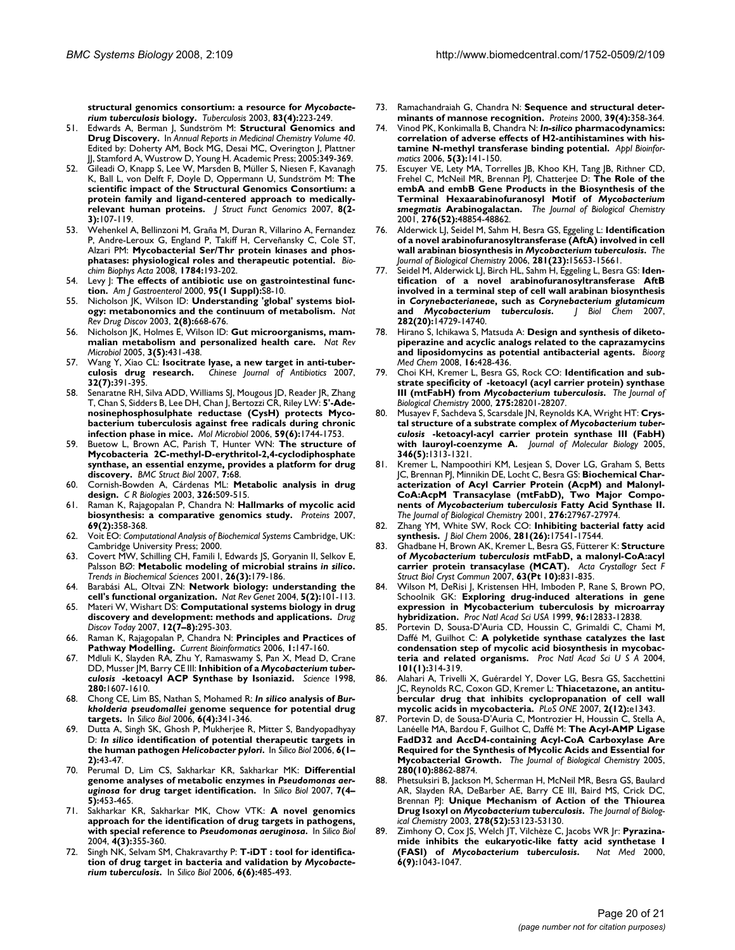**structural genomics consortium: a resource for** *Mycobacterium tuberculosis* **[biology.](http://www.ncbi.nlm.nih.gov/entrez/query.fcgi?cmd=Retrieve&db=PubMed&dopt=Abstract&list_uids=12906835)** *Tuberculosis* 2003, **83(4):**223-249.

- 51. Edwards A, Berman J, Sundström M: **Structural Genomics and Drug Discovery.** In *Annual Reports in Medicinal Chemistry Volume 40*. Edited by: Doherty AM, Bock MG, Desai MC, Overington J, Plattner JJ, Stamford A, Wustrow D, Young H. Academic Press; 2005:349-369.
- <span id="page-19-0"></span>52. Gileadi O, Knapp S, Lee W, Marsden B, Müller S, Niesen F, Kavanagh K, Ball L, von Delft F, Doyle D, Oppermann U, Sundström M: **[The](http://www.ncbi.nlm.nih.gov/entrez/query.fcgi?cmd=Retrieve&db=PubMed&dopt=Abstract&list_uids=17932789) [scientific impact of the Structural Genomics Consortium: a](http://www.ncbi.nlm.nih.gov/entrez/query.fcgi?cmd=Retrieve&db=PubMed&dopt=Abstract&list_uids=17932789) protein family and ligand-centered approach to medically[relevant human proteins.](http://www.ncbi.nlm.nih.gov/entrez/query.fcgi?cmd=Retrieve&db=PubMed&dopt=Abstract&list_uids=17932789)** *J Struct Funct Genomics* 2007, **8(2- 3):**107-119.
- <span id="page-19-1"></span>53. Wehenkel A, Bellinzoni M, Graña M, Duran R, Villarino A, Fernandez P, Andre-Leroux G, England P, Takiff H, Cerveñansky C, Cole ST, Alzari PM: **[Mycobacterial Ser/Thr protein kinases and phos](http://www.ncbi.nlm.nih.gov/entrez/query.fcgi?cmd=Retrieve&db=PubMed&dopt=Abstract&list_uids=17869195)[phatases: physiological roles and therapeutic potential.](http://www.ncbi.nlm.nih.gov/entrez/query.fcgi?cmd=Retrieve&db=PubMed&dopt=Abstract&list_uids=17869195)** *Biochim Biophys Acta* 2008, **1784:**193-202.
- <span id="page-19-2"></span>54. Levy J: **[The effects of antibiotic use on gastrointestinal func](http://www.ncbi.nlm.nih.gov/entrez/query.fcgi?cmd=Retrieve&db=PubMed&dopt=Abstract&list_uids=10634220)[tion.](http://www.ncbi.nlm.nih.gov/entrez/query.fcgi?cmd=Retrieve&db=PubMed&dopt=Abstract&list_uids=10634220)** *Am J Gastroenterol* 2000, **95(1 Suppl):**S8-10.
- <span id="page-19-3"></span>55. Nicholson JK, Wilson ID: **[Understanding 'global' systems biol](http://www.ncbi.nlm.nih.gov/entrez/query.fcgi?cmd=Retrieve&db=PubMed&dopt=Abstract&list_uids=12904817)[ogy: metabonomics and the continuum of metabolism.](http://www.ncbi.nlm.nih.gov/entrez/query.fcgi?cmd=Retrieve&db=PubMed&dopt=Abstract&list_uids=12904817)** *Nat Rev Drug Discov* 2003, **2(8):**668-676.
- <span id="page-19-4"></span>56. Nicholson JK, Holmes E, Wilson ID: **[Gut microorganisms, mam](http://www.ncbi.nlm.nih.gov/entrez/query.fcgi?cmd=Retrieve&db=PubMed&dopt=Abstract&list_uids=15821725)[malian metabolism and personalized health care.](http://www.ncbi.nlm.nih.gov/entrez/query.fcgi?cmd=Retrieve&db=PubMed&dopt=Abstract&list_uids=15821725)** *Nat Rev Microbiol* 2005, **3(5):**431-438.
- <span id="page-19-5"></span>57. Wang Y, Xiao CL: **Isocitrate lyase, a new target in anti-tuberculosis drug research.** *Chinese Journal of Antibiotics* 2007, **32(7):**391-395.
- <span id="page-19-6"></span>58. Senaratne RH, Silva ADD, Williams SJ, Mougous JD, Reader JR, Zhang T, Chan S, Sidders B, Lee DH, Chan J, Bertozzi CR, Riley LW: **[5'-Ade](http://www.ncbi.nlm.nih.gov/entrez/query.fcgi?cmd=Retrieve&db=PubMed&dopt=Abstract&list_uids=16553880)[nosinephosphosulphate reductase \(CysH\) protects Myco](http://www.ncbi.nlm.nih.gov/entrez/query.fcgi?cmd=Retrieve&db=PubMed&dopt=Abstract&list_uids=16553880)bacterium tuberculosis against free radicals during chronic [infection phase in mice.](http://www.ncbi.nlm.nih.gov/entrez/query.fcgi?cmd=Retrieve&db=PubMed&dopt=Abstract&list_uids=16553880)** *Mol Microbiol* 2006, **59(6):**1744-1753.
- <span id="page-19-7"></span>59. Buetow L, Brown AC, Parish T, Hunter WN: **[The structure of](http://www.ncbi.nlm.nih.gov/entrez/query.fcgi?cmd=Retrieve&db=PubMed&dopt=Abstract&list_uids=17956607) [Mycobacteria 2C-methyl-D-erythritol-2,4-cyclodiphosphate](http://www.ncbi.nlm.nih.gov/entrez/query.fcgi?cmd=Retrieve&db=PubMed&dopt=Abstract&list_uids=17956607) synthase, an essential enzyme, provides a platform for drug [discovery.](http://www.ncbi.nlm.nih.gov/entrez/query.fcgi?cmd=Retrieve&db=PubMed&dopt=Abstract&list_uids=17956607)** *BMC Struct Biol* 2007, **7:**68.
- <span id="page-19-22"></span>60. Cornish-Bowden A, Cárdenas ML: **[Metabolic analysis in drug](http://www.ncbi.nlm.nih.gov/entrez/query.fcgi?cmd=Retrieve&db=PubMed&dopt=Abstract&list_uids=12886878) [design.](http://www.ncbi.nlm.nih.gov/entrez/query.fcgi?cmd=Retrieve&db=PubMed&dopt=Abstract&list_uids=12886878)** *C R Biologies* 2003, **326:**509-515.
- <span id="page-19-23"></span>61. Raman K, Rajagopalan P, Chandra N: **[Hallmarks of mycolic acid](http://www.ncbi.nlm.nih.gov/entrez/query.fcgi?cmd=Retrieve&db=PubMed&dopt=Abstract&list_uids=17600834) [biosynthesis: a comparative genomics study.](http://www.ncbi.nlm.nih.gov/entrez/query.fcgi?cmd=Retrieve&db=PubMed&dopt=Abstract&list_uids=17600834)** *Proteins* 2007, **69(2):**358-368.
- <span id="page-19-24"></span>62. Voit EO: *Computational Analysis of Biochemical Systems* Cambridge, UK: Cambridge University Press; 2000.
- 63. Covert MW, Schilling CH, Famili I, Edwards JS, Goryanin II, Selkov E, Palsson BØ: **Metabolic modeling of microbial strains** *in silico***[.](http://www.ncbi.nlm.nih.gov/entrez/query.fcgi?cmd=Retrieve&db=PubMed&dopt=Abstract&list_uids=11246024)** *Trends in Biochemical Sciences* 2001, **26(3):**179-186.
- 64. Barabási AL, Oltvai ZN: **[Network biology: understanding the](http://www.ncbi.nlm.nih.gov/entrez/query.fcgi?cmd=Retrieve&db=PubMed&dopt=Abstract&list_uids=14735121) [cell's functional organization.](http://www.ncbi.nlm.nih.gov/entrez/query.fcgi?cmd=Retrieve&db=PubMed&dopt=Abstract&list_uids=14735121)** *Nat Rev Genet* 2004, **5(2):**101-113.
- <span id="page-19-25"></span>65. Materi W, Wishart DS: **[Computational systems biology in drug](http://www.ncbi.nlm.nih.gov/entrez/query.fcgi?cmd=Retrieve&db=PubMed&dopt=Abstract&list_uids=17395089) [discovery and development: methods and applications.](http://www.ncbi.nlm.nih.gov/entrez/query.fcgi?cmd=Retrieve&db=PubMed&dopt=Abstract&list_uids=17395089)** *Drug Discov Today* 2007, **12(7–8):**295-303.
- <span id="page-19-26"></span>66. Raman K, Rajagopalan P, Chandra N: **Principles and Practices of Pathway Modelling.** *Current Bioinformatics* 2006, **1:**147-160.
- <span id="page-19-27"></span>67. Mdluli K, Slayden RA, Zhu Y, Ramaswamy S, Pan X, Mead D, Crane DD, Musser JM, Barry CE III: **Inhibition of a** *Mycobacterium tuberculosis* **[-ketoacyl ACP Synthase by Isoniazid.](http://www.ncbi.nlm.nih.gov/entrez/query.fcgi?cmd=Retrieve&db=PubMed&dopt=Abstract&list_uids=9616124)** *Science* 1998, **280:**1607-1610.
- <span id="page-19-28"></span>68. Chong CE, Lim BS, Nathan S, Mohamed R: *In silico* **analysis of** *Burkholderia pseudomallei* **[genome sequence for potential drug](http://www.ncbi.nlm.nih.gov/entrez/query.fcgi?cmd=Retrieve&db=PubMed&dopt=Abstract&list_uids=16922696) [targets.](http://www.ncbi.nlm.nih.gov/entrez/query.fcgi?cmd=Retrieve&db=PubMed&dopt=Abstract&list_uids=16922696)** In *Silico Biol* 2006, **6(4):**341-346.
- <span id="page-19-29"></span>Dutta A, Singh SK, Ghosh P, Mukherjee R, Mitter S, Bandyopadhyay D: *In silico* **identification of potential therapeutic targets in the human pathogen** *Helicobacter pylori***[.](http://www.ncbi.nlm.nih.gov/entrez/query.fcgi?cmd=Retrieve&db=PubMed&dopt=Abstract&list_uids=16789912)** In *Silico Biol* 2006, **6(1– 2):**43-47.
- <span id="page-19-30"></span>70. Perumal D, Lim CS, Sakharkar KR, Sakharkar MK: **Differential genome analyses of metabolic enzymes in** *Pseudomonas aeruginosa* **[for drug target identification.](http://www.ncbi.nlm.nih.gov/entrez/query.fcgi?cmd=Retrieve&db=PubMed&dopt=Abstract&list_uids=18391237)** In *Silico Biol* 2007, **7(4– 5):**453-465.
- <span id="page-19-31"></span>71. Sakharkar KR, Sakharkar MK, Chow VTK: **A novel genomics approach for the identification of drug targets in pathogens, with special reference to** *Pseudomonas aeruginosa***[.](http://www.ncbi.nlm.nih.gov/entrez/query.fcgi?cmd=Retrieve&db=PubMed&dopt=Abstract&list_uids=15724285)** In *Silico Biol* 2004, **4(3):**355-360.
- <span id="page-19-32"></span>72. Singh NK, Selvam SM, Chakravarthy P: **T-iDT : tool for identification of drug target in bacteria and validation by** *Mycobacterium tuberculosis***[.](http://www.ncbi.nlm.nih.gov/entrez/query.fcgi?cmd=Retrieve&db=PubMed&dopt=Abstract&list_uids=17518759)** In *Silico Biol* 2006, **6(6):**485-493.
- <span id="page-19-33"></span>73. Ramachandraiah G, Chandra N: **[Sequence and structural deter](http://www.ncbi.nlm.nih.gov/entrez/query.fcgi?cmd=Retrieve&db=PubMed&dopt=Abstract&list_uids=10813817)[minants of mannose recognition.](http://www.ncbi.nlm.nih.gov/entrez/query.fcgi?cmd=Retrieve&db=PubMed&dopt=Abstract&list_uids=10813817)** *Proteins* 2000, **39(4):**358-364.
- <span id="page-19-34"></span>74. Vinod PK, Konkimalla B, Chandra N: *In-silico* **[pharmacodynamics:](http://www.ncbi.nlm.nih.gov/entrez/query.fcgi?cmd=Retrieve&db=PubMed&dopt=Abstract&list_uids=16922595) [correlation of adverse effects of H2-antihistamines with his](http://www.ncbi.nlm.nih.gov/entrez/query.fcgi?cmd=Retrieve&db=PubMed&dopt=Abstract&list_uids=16922595)[tamine N-methyl transferase binding potential.](http://www.ncbi.nlm.nih.gov/entrez/query.fcgi?cmd=Retrieve&db=PubMed&dopt=Abstract&list_uids=16922595)** *Appl Bioinformatics* 2006, **5(3):**141-150.
- <span id="page-19-8"></span>Escuyer VE, Lety MA, Torrelles JB, Khoo KH, Tang JB, Rithner CD, Frehel C, McNeil MR, Brennan PJ, Chatterjee D: **The Role of the embA and embB Gene Products in the Biosynthesis of the Terminal Hexaarabinofuranosyl Motif of** *Mycobacterium smegmatis* **[Arabinogalactan.](http://www.ncbi.nlm.nih.gov/entrez/query.fcgi?cmd=Retrieve&db=PubMed&dopt=Abstract&list_uids=11677227)** *The Journal of Biological Chemistry* 2001, **276(52):**48854-48862.
- <span id="page-19-9"></span>76. Alderwick LJ, Seidel M, Sahm H, Besra GS, Eggeling L: **Identification** of a novel arabinofuranosyltransferase (AftA) involved in cell **wall arabinan biosynthesis in** *Mycobacterium tuberculosis***[.](http://www.ncbi.nlm.nih.gov/entrez/query.fcgi?cmd=Retrieve&db=PubMed&dopt=Abstract&list_uids=16595677)** *The Journal of Biological Chemistry* 2006, **281(23):**15653-15661.
- <span id="page-19-10"></span>77. Seidel M, Alderwick LJ, Birch HL, Sahm H, Eggeling L, Besra GS: **Identification of a novel arabinofuranosyltransferase AftB involved in a terminal step of cell wall arabinan biosynthesis in** *Corynebacterianeae***, such as** *Corynebacterium glutamicum* and *Mycobacterium* tuberculosis[.](http://www.ncbi.nlm.nih.gov/entrez/query.fcgi?cmd=Retrieve&db=PubMed&dopt=Abstract&list_uids=17387176) **282(20):**14729-14740.
- <span id="page-19-11"></span>78. Hirano S, Ichikawa S, Matsuda A: [Design and synthesis of diketo](http://www.ncbi.nlm.nih.gov/entrez/query.fcgi?cmd=Retrieve&db=PubMed&dopt=Abstract&list_uids=17904373)**[piperazine and acyclic analogs related to the caprazamycins](http://www.ncbi.nlm.nih.gov/entrez/query.fcgi?cmd=Retrieve&db=PubMed&dopt=Abstract&list_uids=17904373) [and liposidomycins as potential antibacterial agents.](http://www.ncbi.nlm.nih.gov/entrez/query.fcgi?cmd=Retrieve&db=PubMed&dopt=Abstract&list_uids=17904373)** *Bioorg Med Chem* 2008, **16:**428-436.
- <span id="page-19-12"></span>79. Choi KH, Kremer L, Besra GS, Rock CO: **Identification and substrate specificity of -ketoacyl (acyl carrier protein) synthase III (mtFabH) from** *Mycobacterium tuberculosis***[.](http://www.ncbi.nlm.nih.gov/entrez/query.fcgi?cmd=Retrieve&db=PubMed&dopt=Abstract&list_uids=10840036)** *The Journal of Biological Chemistry* 2000, **275:**28201-28207.
- <span id="page-19-13"></span>Musayev F, Sachdeva S, Scarsdale JN, Reynolds KA, Wright HT: Crys**tal structure of a substrate complex of** *Mycobacterium tuberculosis* **[-ketoacyl-acyl carrier protein synthase III \(FabH\)](http://www.ncbi.nlm.nih.gov/entrez/query.fcgi?cmd=Retrieve&db=PubMed&dopt=Abstract&list_uids=15713483) [with lauroyl-coenzyme A.](http://www.ncbi.nlm.nih.gov/entrez/query.fcgi?cmd=Retrieve&db=PubMed&dopt=Abstract&list_uids=15713483)** *Journal of Molecular Biology* 2005, **346(5):**1313-1321.
- <span id="page-19-14"></span>Kremer L, Nampoothiri KM, Lesjean S, Dover LG, Graham S, Betts JC, Brennan PJ, Minnikin DE, Locht C, Besra GS: **Biochemical Characterization of Acyl Carrier Protein (AcpM) and Malonyl-CoA:AcpM Transacylase (mtFabD), Two Major Components of** *Mycobacterium tuberculosis* **[Fatty Acid Synthase II.](http://www.ncbi.nlm.nih.gov/entrez/query.fcgi?cmd=Retrieve&db=PubMed&dopt=Abstract&list_uids=11373295)** *The Journal of Biological Chemistry* 2001, **276:**27967-27974.
- 82. Zhang YM, White SW, Rock CO: **[Inhibiting bacterial fatty acid](http://www.ncbi.nlm.nih.gov/entrez/query.fcgi?cmd=Retrieve&db=PubMed&dopt=Abstract&list_uids=16648134) [synthesis.](http://www.ncbi.nlm.nih.gov/entrez/query.fcgi?cmd=Retrieve&db=PubMed&dopt=Abstract&list_uids=16648134)** *J Biol Chem* 2006, **281(26):**17541-17544.
- <span id="page-19-15"></span>83. Ghadbane H, Brown AK, Kremer L, Besra GS, Fütterer K: **Structure of** *Mycobacterium tuberculosis* **[mtFabD, a malonyl-CoA:acyl](http://www.ncbi.nlm.nih.gov/entrez/query.fcgi?cmd=Retrieve&db=PubMed&dopt=Abstract&list_uids=17909282) [carrier protein transacylase \(MCAT\).](http://www.ncbi.nlm.nih.gov/entrez/query.fcgi?cmd=Retrieve&db=PubMed&dopt=Abstract&list_uids=17909282)** *Acta Crystallogr Sect F Struct Biol Cryst Commun* 2007, **63(Pt 10):**831-835.
- <span id="page-19-16"></span>Wilson M, DeRisi J, Kristensen HH, Imboden P, Rane S, Brown PO, Schoolnik GK: **[Exploring drug-induced alterations in gene](http://www.ncbi.nlm.nih.gov/entrez/query.fcgi?cmd=Retrieve&db=PubMed&dopt=Abstract&list_uids=10536008) [expression in Mycobacterium tuberculosis by microarray](http://www.ncbi.nlm.nih.gov/entrez/query.fcgi?cmd=Retrieve&db=PubMed&dopt=Abstract&list_uids=10536008) [hybridization.](http://www.ncbi.nlm.nih.gov/entrez/query.fcgi?cmd=Retrieve&db=PubMed&dopt=Abstract&list_uids=10536008)** *Proc Natl Acad Sci USA* 1999, **96:**12833-12838.
- <span id="page-19-17"></span>85. Portevin D, Sousa-D'Auria CD, Houssin C, Grimaldi C, Chami M, Daffé M, Guilhot C: **[A polyketide synthase catalyzes the last](http://www.ncbi.nlm.nih.gov/entrez/query.fcgi?cmd=Retrieve&db=PubMed&dopt=Abstract&list_uids=14695899) [condensation step of mycolic acid biosynthesis in mycobac](http://www.ncbi.nlm.nih.gov/entrez/query.fcgi?cmd=Retrieve&db=PubMed&dopt=Abstract&list_uids=14695899)[teria and related organisms.](http://www.ncbi.nlm.nih.gov/entrez/query.fcgi?cmd=Retrieve&db=PubMed&dopt=Abstract&list_uids=14695899)** *Proc Natl Acad Sci U S A* 2004, **101(1):**314-319.
- <span id="page-19-18"></span>86. Alahari A, Trivelli X, Guérardel Y, Dover LG, Besra GS, Sacchettini JC, Reynolds RC, Coxon GD, Kremer L: **[Thiacetazone, an antitu](http://www.ncbi.nlm.nih.gov/entrez/query.fcgi?cmd=Retrieve&db=PubMed&dopt=Abstract&list_uids=18094751)[bercular drug that inhibits cyclopropanation of cell wall](http://www.ncbi.nlm.nih.gov/entrez/query.fcgi?cmd=Retrieve&db=PubMed&dopt=Abstract&list_uids=18094751) [mycolic acids in mycobacteria.](http://www.ncbi.nlm.nih.gov/entrez/query.fcgi?cmd=Retrieve&db=PubMed&dopt=Abstract&list_uids=18094751)** *PLoS ONE* 2007, **2(12):**e1343.
- <span id="page-19-19"></span>Portevin D, de Sousa-D'Auria C, Montrozier H, Houssin C, Stella A, Lanéelle MA, Bardou F, Guilhot C, Daffé M: **[The Acyl-AMP Ligase](http://www.ncbi.nlm.nih.gov/entrez/query.fcgi?cmd=Retrieve&db=PubMed&dopt=Abstract&list_uids=15632194) [FadD32 and AccD4-containing Acyl-CoA Carboxylase Are](http://www.ncbi.nlm.nih.gov/entrez/query.fcgi?cmd=Retrieve&db=PubMed&dopt=Abstract&list_uids=15632194) Required for the Synthesis of Mycolic Acids and Essential for [Mycobacterial Growth.](http://www.ncbi.nlm.nih.gov/entrez/query.fcgi?cmd=Retrieve&db=PubMed&dopt=Abstract&list_uids=15632194)** *The Journal of Biological Chemistry* 2005, **280(10):**8862-8874.
- <span id="page-19-20"></span>88. Phetsuksiri B, Jackson M, Scherman H, McNeil MR, Besra GS, Baulard AR, Slayden RA, DeBarber AE, Barry CE III, Baird MS, Crick DC, Brennan PJ: **Unique Mechanism of Action of the Thiourea Drug Isoxyl on** *Mycobacterium tuberculosis***[.](http://www.ncbi.nlm.nih.gov/entrez/query.fcgi?cmd=Retrieve&db=PubMed&dopt=Abstract&list_uids=14559907)** *The Journal of Biological Chemistry* 2003, **278(52):**53123-53130.
- <span id="page-19-21"></span>Zimhony O, Cox JS, Welch JT, Vilchèze C, Jacobs WR Jr: Pyrazina**mide inhibits the eukaryotic-like fatty acid synthetase I (FASI) of** *Mycobacterium tuberculosis***[.](http://www.ncbi.nlm.nih.gov/entrez/query.fcgi?cmd=Retrieve&db=PubMed&dopt=Abstract&list_uids=10973326)** *Nat Med* 2000, **6(9):**1043-1047.